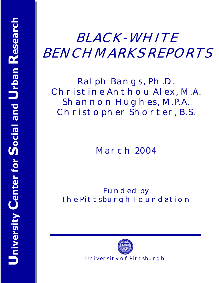# **BLACK-WHITE BENCHMARKS REPORTS**

**Ralph Bangs, Ph.D. Christine Anthou Alex, M.A. Shannon Hughes, M.P.A. Christopher Shorter, B.S.** 

**March 2004** 

**Funded by The Pittsburgh Foundation** 

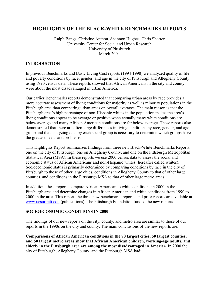### **HIGHLIGHTS OF THE BLACK-WHITE BENCHMARKS REPORTS**

Ralph Bangs, Christine Anthou, Shannon Hughes, Chris Shorter University Center for Social and Urban Research University of Pittsburgh March 2004

#### **INTRODUCTION**

In previous Benchmarks and Basic Living Cost reports (1994-1998) we analyzed quality of life and poverty conditions by race, gender, and age in the city of Pittsburgh and Allegheny County using 1990 census data. These reports showed that African Americans in the city and county were about the most disadvantaged in urban America.

Our earlier Benchmarks reports demonstrated that comparing urban areas by race provides a more accurate assessment of living conditions for majority as well as minority populations in the Pittsburgh area than comparing urban areas on overall averages. The main reason is that the Pittsburgh area's high percentage of non-Hispanic whites in the population makes the area's living conditions appear to be average or positive when actually many white conditions are below average and many African American conditions are far below average. These reports also demonstrated that there are often large differences in living conditions by race, gender, and age group and that analyzing data by each social group is necessary to determine which groups have the greatest needs and problems.

This Highlights Report summarizes findings from three new Black-White Benchmarks Reports: one on the city of Pittsburgh, one on Allegheny County, and one on the Pittsburgh Metropolitan Statistical Area (MSA). In these reports we use 2000 census data to assess the social and economic status of African Americans and non-Hispanic whites (hereafter called whites). Socioeconomic status is primarily determined by comparing conditions by race in the city of Pittsburgh to those of other large cities, conditions in Allegheny County to that of other large counties, and conditions in the Pittsburgh MSA to that of other large metro areas.

In addition, these reports compare African American to white conditions in 2000 in the Pittsburgh area and determine changes in African American and white conditions from 1990 to 2000 in the area. This report, the three new benchmarks reports, and prior reports are available at www.ucsur.pitt.edu (publications). The Pittsburgh Foundation funded the new reports.

#### **SOCIOECONOMIC CONDITIONS IN 2000**

The findings of our new reports on the city, county, and metro area are similar to those of our reports in the 1990s on the city and county. The main conclusions of the new reports are:

**Comparisons of African American conditions in the 70 largest cities, 50 largest counties, and 50 largest metro areas show that African American children, working-age adults, and elderly in the Pittsburgh area are among the most disadvantaged in America.** In 2000 the city of Pittsburgh, Allegheny County, and the Pittsburgh MSA had: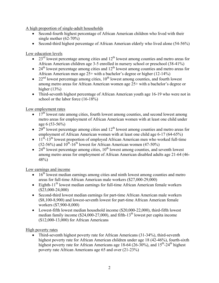A high proportion of single-adult households

- Second-fourth highest percentage of African American children who lived with their single mother (62-70%)
- Second-third highest percentage of African American elderly who lived alone (54-56%)

Low education levels

- $\bullet$  23<sup>rd</sup> lowest percentage among cities and 12<sup>th</sup> lowest among counties and metro areas for African American children age 3-5 enrolled in nursery school or preschool (38-41%)
- 24<sup>th</sup> lowest percentage among cities and  $12<sup>th</sup>$  lowest among counties and metro areas for African American men age  $25+$  with a bachelor's degree or higher (12-14%)
- 22<sup>nd</sup> lowest percentage among cities,  $10<sup>th</sup>$  lowest among counties, and fourth lowest among metro areas for African American women age 25+ with a bachelor's degree or higher  $(13%)$
- Third-seventh highest percentage of African American youth age 16-19 who were not in school or the labor force (16-18%)

Low employment rates

- $\bullet$  17<sup>th</sup> lowest rate among cities, fourth lowest among counties, and second lowest among metro areas for employment of African American women with at least one child under age 6 (53-56%)
- 29<sup>th</sup> lowest percentage among cities and  $12<sup>th</sup>$  lowest among counties and metro areas for employment of African American women with at least one child age 6-17 (64-65%)
- $\bullet$  11<sup>th</sup>-13<sup>th</sup> lowest proportion of employed African American men who worked full-time  $(52-56%)$  and  $10^{th}$ - $16^{th}$  lowest for African American women (47-50%)
- $24<sup>th</sup>$  lowest percentage among cities,  $10<sup>th</sup>$  lowest among counties, and seventh lowest among metro areas for employment of African American disabled adults age 21-64 (46- 48%)

Low earnings and income

- $\bullet$  16<sup>th</sup> lowest median earnings among cities and ninth lowest among counties and metro areas for full-time African American male workers (\$27,000-29,000)
- Eighth-11<sup>th</sup> lowest median earnings for full-time African American female workers (\$23,000-24,000)
- Second-third lowest median earnings for part-time African American male workers (\$8,100-8,900) and lowest-seventh lowest for part-time African American female workers (\$7,900-8,000)
- Lowest-fifth lowest median household income (\$20,000-22,000), third-fifth lowest median family income (\$24,000-27,000), and fifth- $13<sup>th</sup>$  lowest per capita income (\$12,000-13,000) for African Americans

High poverty rates

• Third-seventh highest poverty rate for African Americans (31-34%), third-seventh highest poverty rate for African American children under age 18 (42-46%), fourth-sixth highest poverty rate for African Americans age 18-64 (26-30%), and  $15<sup>th</sup>$ -24<sup>th</sup> highest poverty rate African Americans age 65 and over (21-23%)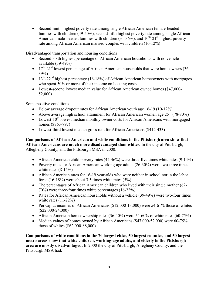• Second-ninth highest poverty rate among single African American female-headed families with children (49-50%), second-fifth highest poverty rate among single African American male-headed families with children  $(31-36\%)$ , and  $10^{th}$ -21<sup>st</sup> highest poverty rate among African American married-couples with children (10-12%)

Disadvantaged transportation and housing conditions

- Second-sixth highest percentage of African American households with no vehicle available (39-49%)
- $17<sup>th</sup>$ -21<sup>st</sup> lowest percentage of African American households that were homeowners (36-39%)
- $13^{th}$ -22<sup>nd</sup> highest percentage (16-18%) of African American homeowners with mortgages who spent 50% or more of their income on housing costs
- Lowest-second lowest median value for African American owned homes (\$47,000- 52,000)

Some positive conditions

- Below average dropout rates for African American youth age 16-19 (10-12%)
- Above average high school attainment for African American women age  $25+ (78-80\%)$
- Lowest-10<sup>th</sup> lowest median monthly owner costs for African Americans with mortgaged homes (\$763-797)
- Lowest-third lowest median gross rent for African Americans (\$412-433)

**Comparisons of African American and white conditions in the Pittsburgh area show that African Americans are much more disadvantaged than whites.** In the city of Pittsburgh, Allegheny County, and the Pittsburgh MSA in 2000:

- African American child poverty rates (42-46%) were three-five times white rates (9-14%)
- Poverty rates for African American working-age adults (26-30%) were two-three times white rates  $(8-15%)$
- African American rates for 16-19 year-olds who were neither in school nor in the labor force (16-18%) were about 3.5 times white rates  $(5\%)$
- The percentages of African American children who lived with their single mother (62-70%) were three-four times white percentages (16-22%)
- Rates for African American households without a vehicle (39-49%) were two-four times white rates  $(11-22%)$
- Per capita incomes of African Americans (\$12,000-13,000) were 54-61% those of whites (\$22,000-24,000)
- African American homeownership rates  $(36-40\%)$  were 54-60% of white rates  $(60-75\%)$
- Median values of homes owned by African Americans (\$47,000-52,000) were 60-75% those of whites (\$62,000-88,000)

**Comparisons of white conditions in the 70 largest cities, 50 largest counties, and 50 largest metro areas show that white children, working-age adults, and elderly in the Pittsburgh area are mostly disadvantaged.** In 2000 the city of Pittsburgh, Allegheny County, and the Pittsburgh MSA had: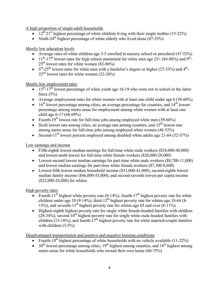A high proportion of single-adult households

- $12^{\text{th}} \cdot 21^{\text{st}}$  highest percentage of white children living with their single mother (15-22%)
- Ninth-24<sup>th</sup> highest percentage of white elderly who lived alone  $(47-53\%)$

Mostly low education levels

- Average rates of white children age 3-5 enrolled in nursery school or preschool (47-52%)
- 11<sup>th</sup>-17<sup>th</sup> lowest rates for high school attainment for white men age  $25+(84-88%)$  and 9<sup>th</sup>- $25<sup>th</sup>$  lowest rates for white women (82-86%)
- $5<sup>th</sup>$ -25<sup>th</sup> lowest rates for white men with a bachelor's degree or higher (27-33%) and 4<sup>th</sup>- $22<sup>nd</sup>$  lowest rates for white women (22-26%)

Mostly low employment rates

- $\bullet$  13<sup>th</sup>-17<sup>th</sup> lowest percentage of white youth age 16-19 who were not in school or the labor force  $(5%)$
- Average employment rates for white women with at least one child under age 6 (58-60%)
- 16<sup>th</sup> lowest percentage among cities, an average percentage for counties, and  $14<sup>th</sup>$  lowest percentage among metro areas for employment among white women with at least one child age 6-17 (68-69%)
- Fourth-19<sup>th</sup> lowest rate for full-time jobs among employed white men (59-68%)
- Sixth lowest rate among cities, an average rate among counties, and  $12^{th}$  lowest rate among metro areas for full-time jobs among employed white women (48-52%)
- Second-11<sup>th</sup> lowest percent employed among disabled white adults age 21-64 (52-57%)

Low earnings and income

- Fifth-eighth lowest median earnings for full-time white male workers (\$34,000-40,000) and lowest-ninth lowest for full-time white female workers (\$26,000-28,000)
- Lowest-second lowest median earnings for part-time white male workers (\$8,700-11,000) and lowest median earnings for part-time white female workers (\$7,300-8,600)
- Lowest-fifth lowest median household income (\$33,000-41,000), second-eighth lowest median family income (\$46,000-53,000), and second-seventh lowest per capita income (\$22,000-24,000) for whites

High poverty rates

- Fourth-11<sup>th</sup> highest white poverty rate (8-14%), fourth-17<sup>th</sup> highest poverty rate for white children under age 18 (9-14%), third-12<sup>th</sup> highest poverty rate for whites age 18-64 (8-15%), and seventh-11<sup>th</sup> highest poverty rate for whites age 65 and over  $(8-11\%)$
- Highest-eighth highest poverty rate for single white female-headed families with children  $(28-34%)$ , second-10<sup>th</sup> highest poverty rate for single white male-headed families with children (13-18%), and fourth- $17<sup>th</sup>$  highest poverty rate for white married-couple families with children (3-5%)

Disadvantaged transportation and positive and negative housing conditions

- Fourth-10<sup>th</sup> highest percentage of white households with no vehicle available (11-22%)
- 30<sup>th</sup> lowest percentage among cities,  $19<sup>th</sup>$  highest among counties, and  $14<sup>th</sup>$  highest among metro areas for white households who owned their own home (60-75%)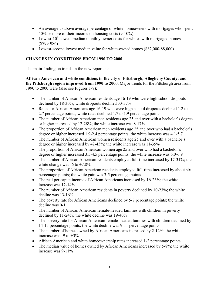- An average to above average percentage of white homeowners with mortgages who spent 50% or more of their income on housing costs (9-10%)
- Lowest-10<sup>th</sup> lowest median monthly owner costs for whites with mortgaged homes (\$799-986)
- Lowest-second lowest median value for white-owned homes (\$62,000-88,000)

#### **CHANGES IN CONDITIONS FROM 1990 TO 2000**

The main finding on trends in the new reports is:

**African American and white conditions in the city of Pittsburgh, Allegheny County, and the Pittsburgh region improved from 1990 to 2000.** Major trends for the Pittsburgh area from 1990 to 2000 were (also see Figures 1-8):

- The number of African American residents age 16-19 who were high school dropouts declined by 18-30%; white dropouts declined 33-37%
- Rates for African Americans age 16-19 who were high school dropouts declined 1.2 to 2.7 percentage points; white rates declined 1.7 to 1.9 percentage points
- The number of African American men residents age 25 and over with a bachelor's degree or higher increased by 12-28%; the white increase was 8-17%
- The proportion of African American men residents age 25 and over who had a bachelor's degree or higher increased 1.9-2.4 percentage points; the white increase was 4.1-5.7
- The number of African American women residents age 25 and over with a bachelor's degree or higher increased by 42-43%; the white increase was 11-35%
- The proportion of African American women age 25 and over who had a bachelor's degree or higher increased 3.5-4.5 percentage points; the white increase was 6.0-6.9
- The number of African American residents employed full-time increased by 17-31%; the white change was  $-6$  to  $+7.8\%$
- The proportion of African American residents employed full-time increased by about six percentage points; the white gain was 3-5 percentage points
- The real per capita income of African Americans increased by 16-26%; the white increase was 12-14%
- The number of African American residents in poverty declined by 10-23%; the white decline was 13-16%
- The poverty rate for African Americans declined by 5-7 percentage points; the white decline was 0-1
- The number of African American female-headed families with children in poverty declined by 11-24%; the white decline was 19-40%
- The poverty rate for African American female-headed families with children declined by 14-15 percentage points; the white decline was 9-11 percentage points
- The number of homes owned by African Americans increased by 2-12%; the white increase was  $-9$  to  $+3\%$
- African American and white homeownership rates increased 1-2 percentage points
- The median value of homes owned by African Americans increased by 5-8%; the white increase was 9-11%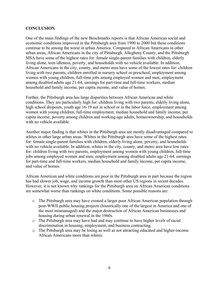#### **CONCLUSION**

One of the main findings of the new Benchmarks reports is that African American social and economic conditions improved in the Pittsburgh area from 1990 to 2000 but these conditions continue to be among the worst in urban America. Compared to African Americans in other urban areas, African Americans in the city of Pittsburgh, Allegheny County, and the Pittsburgh MSA have some of the highest rates for: female single-parent families with children, elderly living alone, teen idleness, poverty, and households with no vehicle available. In addition, African Americans in the city, county, and metro area have some of the lowest rates for: children living with two parents, children enrolled in nursery school or preschool, employment among women with young children, full-time jobs among employed women and men, employment among disabled adults age 21-64, earnings for part-time and full-time workers, median household and family income, per capita income, and value of homes.

Further, the Pittsburgh area has large disparities between African American and white conditions. They are particularly high for: children living with two parents, elderly living alone, high school dropouts, youth age 16-19 not in school or in the labor force, employment among women with young children, full-time employment, median household and family income, per capita income, poverty among children and working-age adults, homeownership, and households with no vehicle available.

Another major finding is that whites in the Pittsburgh area are mostly disadvantaged compared to whites in other large urban areas. Whites in the Pittsburgh area have some of the highest rates for: female single-parent families with children, elderly living alone, poverty, and households with no vehicle available. In addition, whites in the city, county, and metro area have low rates for: children living with two parents, employment among women with young children, full-time jobs among employed women and men, employment among disabled adults age 21-64, earnings for part-time and full-time workers, median household and family income, per capita income, and value of homes.

African American and white conditions are poor in the Pittsburgh area in part because the region has had slower job, wage, and income growth than most other US regions in recent decades. However, it is not known why rankings for the Pittsburgh area on African American conditions are somewhat worse than rankings on white conditions. Some possible reasons are:

- o The Pittsburgh area may have created a larger poor African American population through post-WWII public housing projects (historically one of the largest in America and one of the most mismanaged) and the major destruction of African American businesses and housing during urban renewal in the 1960s.
- o The Pittsburgh area may have had and may continue to have higher levels of racial discrimination in housing, employment, and business contracting.
- o The Pittsburgh area may be losing as well as not attracting educated and higher-income African Americans more than whites.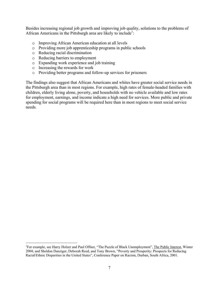Besides increasing regional job growth and improving job quality, solutions to the problems of African Americans in the Pittsburgh area are likely to include<sup>1</sup>:

- o Improving African American education at all levels
- o Providing more job apprenticeship programs in public schools
- o Reducing racial discrimination
- o Reducing barriers to employment
- o Expanding work experience and job training
- o Increasing the rewards for work

 $\overline{a}$ 

o Providing better programs and follow-up services for prisoners

The findings also suggest that African Americans and whites have greater social service needs in the Pittsburgh area than in most regions. For example, high rates of female-headed families with children, elderly living alone, poverty, and households with no vehicle available and low rates for employment, earnings, and income indicate a high need for services. More public and private spending for social programs will be required here than in most regions to meet social service needs.

<sup>&</sup>lt;sup>1</sup>For example, see Harry Holzer and Paul Offner, "The Puzzle of Black Unemployment", The Public Interest, Winter 2004; and Sheldon Danziger, Deborah Reed, and Tony Brown, "Poverty and Prosperity: Prospects for Reducing Racial/Ethnic Disparities in the United States", Conference Paper on Racism, Durban, South Africa, 2001.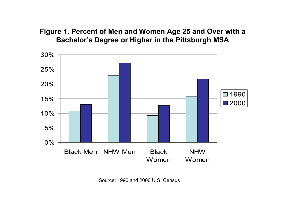## **Figure 1. Percent of Men and Women Age 25 and Over with a Bachelor's Degree or Higher in the Pittsburgh MSA**



Source: 1990 and 2000 U.S. Census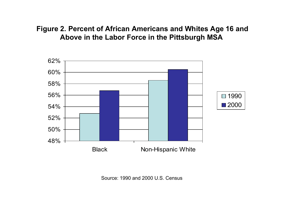# **Figure 2. Percent of African Americans and Whites Age 16 and Above in the Labor Force in the Pittsburgh MSA**



Source: 1990 and 2000 U.S. Census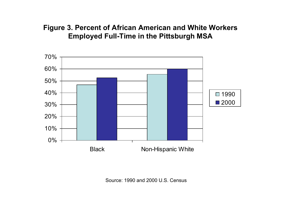### **Figure 3. Percent of African American and White Workers Employed Full-Time in the Pittsburgh MSA**



Source: 1990 and 2000 U.S. Census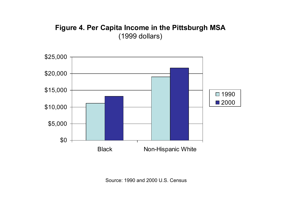# **Figure 4. Per Capita Income in the Pittsburgh MSA** (1999 dollars)



Source: 1990 and 2000 U.S. Census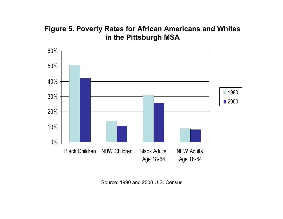# **Figure 5. Poverty Rates for African Americans and Whites in the Pittsburgh MSA**



Source: 1990 and 2000 U.S. Census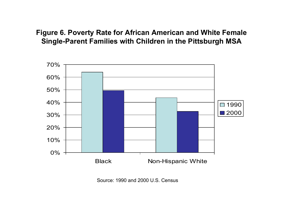### **Figure 6. Poverty Rate for African American and White Female Single-Parent Families with Children in the Pittsburgh MSA**



Source: 1990 and 2000 U.S. Census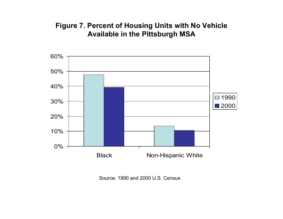## **Figure 7. Percent of Housing Units with No Vehicle Available in the Pittsburgh MSA**



Source: 1990 and 2000 U.S. Census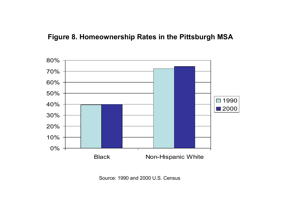### **Figure 8. Homeownership Rates in the Pittsburgh MSA**



Source: 1990 and 2000 U.S. Census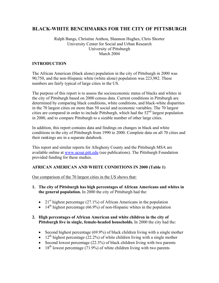### **BLACK-WHITE BENCHMARKS FOR THE CITY OF PITTSBURGH**

#### Ralph Bangs, Christine Anthou, Shannon Hughes, Chris Shorter University Center for Social and Urban Research University of Pittsburgh March 2004

#### **INTRODUCTION**

The African American (black alone) population in the city of Pittsburgh in 2000 was 90,750, and the non-Hispanic white (white alone) population was 223,982. These numbers are fairly typical of large cities in the US.

The purpose of this report is to assess the socioeconomic status of blacks and whites in the city of Pittsburgh based on 2000 census data. Current conditions in Pittsburgh are determined by comparing black conditions, white conditions, and black-white disparities in the 70 largest cities on more than 50 social and economic variables. The 70 largest cities are compared in order to include Pittsburgh, which had the  $52<sup>nd</sup>$  largest population in 2000, and to compare Pittsburgh to a sizable number of other large cities.

In addition, this report contains data and findings on changes in black and white conditions in the city of Pittsburgh from 1990 to 2000. Complete data on all 70 cities and their rankings are in a separate databook.

This report and similar reports for Allegheny County and the Pittsburgh MSA are available online at www.ucsur.pitt.edu (see publications). The Pittsburgh Foundation provided funding for these studies.

#### **AFRICAN AMERICAN AND WHITE CONDITIONS IN 2000 (Table 1)**

Our comparison of the 70 largest cities in the US shows that:

- **1. The city of Pittsburgh has high percentages of African Americans and whites in the general population.** In 2000 the city of Pittsburgh had the:
	- 21<sup>st</sup> highest percentage (27.1%) of African Americans in the population
	- 14<sup>th</sup> highest percentage (66.9%) of non-Hispanic whites in the population

#### **2. High percentages of African American and white children in the city of Pittsburgh live in single, female-headed households.** In 2000 the city had the:

- Second highest percentage (69.9%) of black children living with a single mother
- 12<sup>th</sup> highest percentage (22.2%) of white children living with a single mother
- Second lowest percentage (22.3%) of black children living with two parents
- 18<sup>th</sup> lowest percentage (71.9%) of white children living with two parents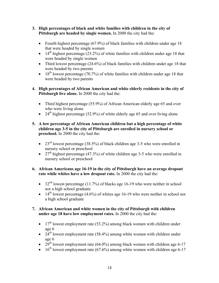- **3. High percentages of black and white families with children in the city of Pittsburgh are headed by single women.** In 2000 the city had the:
	- Fourth highest percentage (67.9%) of black families with children under age 18 that were headed by single women
	- 14<sup>th</sup> highest percentage (23.2%) of white families with children under age 18 that were headed by single women
	- Third lowest percentage (24.6%) of black families with children under age 18 that were headed by two parents
	- 18<sup>th</sup> lowest percentage (70.7%) of white families with children under age 18 that were headed by two parents
- **4. High percentages of African American and white elderly residents in the city of Pittsburgh live alone.** In 2000 the city had the:
	- Third highest percentage (55.9%) of African American elderly age 65 and over who were living alone
	- 24<sup>th</sup> highest percentage (52.9%) of white elderly age 65 and over living alone
- **5. A low percentage of African American children but a high percentage of white children age 3-5 in the city of Pittsburgh are enrolled in nursery school or preschool.** In 2000 the city had the:
	- 23<sup>rd</sup> lowest percentage (38.5%) of black children age 3-5 who were enrolled in nursery school or preschool
	- 27<sup>th</sup> highest percentage (47.3%) of white children age 3-5 who were enrolled in nursery school or preschool

#### **6. African Americans age 16-19 in the city of Pittsburgh have an average dropout rate while whites have a low dropout rate.** In 2000 the city had the:

- 32<sup>nd</sup> lowest percentage (11.7%) of blacks age 16-19 who were neither in school nor a high school graduate
- 14<sup>th</sup> lowest percentage (4.6%) of whites age 16-19 who were neither in school nor a high school graduate

#### **7. African American and white women in the city of Pittsburgh with children under age 18 have low employment rates.** In 2000 the city had the:

- $17<sup>th</sup>$  lowest employment rate (53.2%) among black women with children under age 6
- $24<sup>th</sup>$  lowest employment rate (58.4%) among white women with children under age 6
- 29<sup>th</sup> lowest employment rate (64.0%) among black women with children age 6-17
- 16<sup>th</sup> lowest employment rate  $(67.6\%)$  among white women with children age 6-17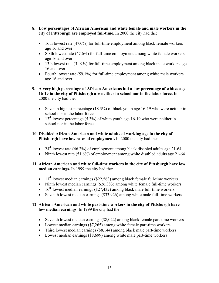- **8. Low percentages of African American and white female and male workers in the city of Pittsburgh are employed full-time.** In 2000 the city had the:
	- 16th lowest rate (47.0%) for full-time employment among black female workers age 16 and over
	- Sixth lowest rate (47.6%) for full-time employment among white female workers age 16 and over
	- 13th lowest rate (51.9%) for full-time employment among black male workers age 16 and over
	- Fourth lowest rate (59.1%) for full-time employment among white male workers age 16 and over
- **9. A very high percentage of African Americans but a low percentage of whites age 16-19 in the city of Pittsburgh are neither in school nor in the labor force.** In 2000 the city had the:
	- Seventh highest percentage (18.3%) of black youth age 16-19 who were neither in school nor in the labor force
	- 13<sup>th</sup> lowest percentage (5.3%) of white youth age 16-19 who were neither in school nor in the labor force

#### **10. Disabled African American and white adults of working age in the city of Pittsburgh have low rates of employment.** In 2000 the city had the:

- 24<sup>th</sup> lowest rate (46.2%) of employment among black disabled adults age 21-64
- Ninth lowest rate (51.6%) of employment among white disabled adults age 21-64

#### **11. African American and white full-time workers in the city of Pittsburgh have low median earnings.** In 1999 the city had the:

- $11<sup>th</sup>$  lowest median earnings (\$22,563) among black female full-time workers
- Ninth lowest median earnings (\$26,383) among white female full-time workers
- $16<sup>th</sup>$  lowest median earnings (\$27,432) among black male full-time workers
- Seventh lowest median earnings (\$33,926) among white male full-time workers

#### **12. African American and white part-time workers in the city of Pittsburgh have low median earnings.** In 1999 the city had the:

- Seventh lowest median earnings (\$8,022) among black female part-time workers
- Lowest median earnings (\$7,265) among white female part-time workers
- Third lowest median earnings (\$8,144) among black male part-time workers
- Lowest median earnings (\$8,699) among white male part-time workers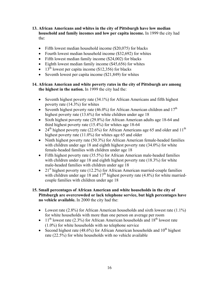- **13. African Americans and whites in the city of Pittsburgh have low median household and family incomes and low per capita income.** In 1999 the city had the:
	- Fifth lowest median household income (\$20,075) for blacks
	- Fourth lowest median household income (\$32,692) for whites
	- Fifth lowest median family income (\$24,002) for blacks
	- Eighth lowest median family income (\$45,656) for whites
	- 13<sup>th</sup> lowest per capita income (\$12,356) for blacks
	- Seventh lowest per capita income (\$21,849) for whites

#### **14. African American and white poverty rates in the city of Pittsburgh are among the highest in the nation.** In 1999 the city had the:

- Seventh highest poverty rate (34.1%) for African Americans and fifth highest poverty rate (14.3%) for whites
- Seventh highest poverty rate (46.0%) for African American children and  $17<sup>th</sup>$ highest poverty rate (13.6%) for white children under age 18
- Sixth highest poverty rate (29.8%) for African American adults age 18-64 and third highest poverty rate (15.4%) for whites age 18-64
- 24<sup>th</sup> highest poverty rate (22.6%) for African Americans age 65 and older and  $11<sup>th</sup>$ highest poverty rate (11.0%) for whites age 65 and older
- Ninth highest poverty rate (50.3%) for African American female-headed families with children under age 18 and eighth highest poverty rate (34.0%) for white female-headed families with children under age 18
- Fifth highest poverty rate (35.5%) for African American male-headed families with children under age 18 and eighth highest poverty rate (18.3%) for white male-headed families with children under age 18
- 21<sup>st</sup> highest poverty rate (12.2%) for African American married-couple families with children under age 18 and  $17<sup>th</sup>$  highest poverty rate (4.8%) for white marriedcouple families with children under age 18
- **15. Small percentages of African American and white households in the city of Pittsburgh are overcrowded or lack telephone service, but high percentages have no vehicle available.** In 2000 the city had the:
	- Lowest rate (2.8%) for African American households and sixth lowest rate (1.1%) for white households with more than one person on average per room
	- 11<sup>th</sup> lowest rate (2.3%) for African American households and  $18<sup>th</sup>$  lowest rate (1.0%) for white households with no telephone service
	- Second highest rate (48.6%) for African American households and  $10^{th}$  highest rate (22.5%) for white households with no vehicle available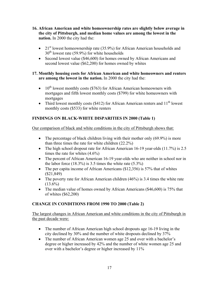- **16. African American and white homeownership rates are slightly below average in the city of Pittsburgh, and median home values are among the lowest in the nation.** In 2000 the city had the:
	- 21<sup>st</sup> lowest homeownership rate (35.9%) for African American households and  $30<sup>th</sup>$  lowest rate (59.9%) for white households
	- Second lowest value (\$46,600) for homes owned by African Americans and second lowest value (\$62,200) for homes owned by whites

#### **17. Monthly housing costs for African American and white homeowners and renters are among the lowest in the nation.** In 2000 the city had the:

- $10^{th}$  lowest monthly costs (\$763) for African American homeowners with mortgages and fifth lowest monthly costs (\$799) for white homeowners with mortgages
- Third lowest monthly costs (\$412) for African American renters and  $11<sup>th</sup>$  lowest monthly costs (\$533) for white renters

#### **FINDINGS ON BLACK-WHITE DISPARITIES IN 2000 (Table 1)**

Our comparison of black and white conditions in the city of Pittsburgh shows that:

- The percentage of black children living with their mother only  $(69.9\%)$  is more than three times the rate for white children (22.2%)
- The high school dropout rate for African American 16-19 year-olds (11.7%) is 2.5 times the rate for whites  $(4.6\%)$
- The percent of African American 16-19 year-olds who are neither in school nor in the labor force  $(18.3\%)$  is 3.5 times the white rate  $(5.3\%)$
- The per capita income of African Americans (\$12,356) is 57% that of whites (\$21,849)
- The poverty rate for African American children  $(46\%)$  is 3.4 times the white rate  $(13.6\%)$
- The median value of homes owned by African Americans (\$46,600) is 75% that of whites (\$62,200)

#### **CHANGE IN CONDITIONS FROM 1990 TO 2000 (Table 2)**

The largest changes in African American and white conditions in the city of Pittsburgh in the past decade were:

- The number of African American high school dropouts age 16-19 living in the city declined by 30% and the number of white dropouts declined by 37%
- The number of African American women age 25 and over with a bachelor's degree or higher increased by 42% and the number of white women age 25 and over with a bachelor's degree or higher increased by 11%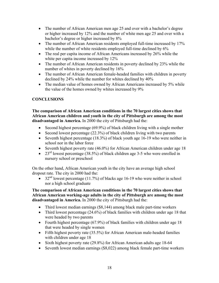- The number of African American men age 25 and over with a bachelor's degree or higher increased by 12% and the number of white men age 25 and over with a bachelor's degree or higher increased by 8%
- The number of African American residents employed full-time increased by 17% while the number of white residents employed full-time declined by  $6\%$
- The real per capita income of African Americans increased by 26% while the white per capita income increased by  $12\%$
- The number of African American residents in poverty declined by 23% while the number of whites in poverty declined by 16%
- The number of African American female-headed families with children in poverty declined by 24% while the number for whites declined by 40%
- The median value of homes owned by African Americans increased by 5% while the value of the homes owned by whites increased by 9%

#### **CONCLUSIONS**

**The comparison of African American conditions in the 70 largest cities shows that African American children and youth in the city of Pittsburgh are among the most disadvantaged in America.** In 2000 the city of Pittsburgh had the:

- Second highest percentage (69.9%) of black children living with a single mother
- Second lowest percentage (22.3%) of black children living with two parents
- Seventh highest percentage (18.3%) of black youth age 16-19 who were neither in school nor in the labor force
- Seventh highest poverty rate (46.0%) for African American children under age 18
- 23<sup>rd</sup> lowest percentage (38.5%) of black children age 3-5 who were enrolled in nursery school or preschool

On the other hand, African American youth in the city have an average high school dropout rate. The city in 2000 had the:

• 32<sup>nd</sup> lowest percentage (11.7%) of blacks age 16-19 who were neither in school nor a high school graduate

#### **The comparison of African American conditions in the 70 largest cities shows that African American working-age adults in the city of Pittsburgh are among the most disadvantaged in America.** In 2000 the city of Pittsburgh had the:

- Third lowest median earnings (\$8,144) among black male part-time workers
- Third lowest percentage (24.6%) of black families with children under age 18 that were headed by two parents
- Fourth highest percentage (67.9%) of black families with children under age 18 that were headed by single women
- Fifth highest poverty rate (35.5%) for African American male-headed families with children under age 18
- Sixth highest poverty rate (29.8%) for African American adults age 18-64
- Seventh lowest median earnings (\$8,022) among black female part-time workers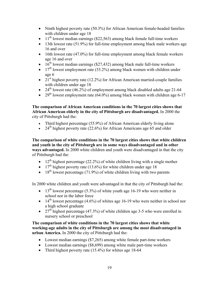- Ninth highest poverty rate (50.3%) for African American female-headed families with children under age 18
- $11<sup>th</sup>$  lowest median earnings (\$22,563) among black female full-time workers
- 13th lowest rate (51.9%) for full-time employment among black male workers age 16 and over
- 16th lowest rate (47.0%) for full-time employment among black female workers age 16 and over
- $16<sup>th</sup>$  lowest median earnings (\$27,432) among black male full-time workers
- $17<sup>th</sup>$  lowest employment rate (53.2%) among black women with children under age 6
- 21<sup>st</sup> highest poverty rate (12.2%) for African American married-couple families with children under age 18
- 24<sup>th</sup> lowest rate (46.2%) of employment among black disabled adults age 21-64
- 29<sup>th</sup> lowest employment rate  $(64.0\%)$  among black women with children age 6-17

**The comparison of African American conditions in the 70 largest cities shows that African American elderly in the city of Pittsburgh are disadvantaged.** In 2000 the city of Pittsburgh had the:

- Third highest percentage (55.9%) of African American elderly living alone
- 24<sup>th</sup> highest poverty rate (22.6%) for African Americans age 65 and older

**The comparison of white conditions in the 70 largest cities shows that white children and youth in the city of Pittsburgh are in some ways disadvantaged and in other ways advantaged.** In 2000 white children and youth were disadvantaged in that the city of Pittsburgh had the:

- 12<sup>th</sup> highest percentage (22.2%) of white children living with a single mother
- 17<sup>th</sup> highest poverty rate (13.6%) for white children under age 18
- 18<sup>th</sup> lowest percentage (71.9%) of white children living with two parents

In 2000 white children and youth were advantaged in that the city of Pittsburgh had the:

- 13<sup>th</sup> lowest percentage (5.3%) of white youth age 16-19 who were neither in school nor in the labor force
- 14<sup>th</sup> lowest percentage (4.6%) of whites age 16-19 who were neither in school nor a high school graduate
- 27<sup>th</sup> highest percentage (47.3%) of white children age 3-5 who were enrolled in nursery school or preschool

**The comparison of white conditions in the 70 largest cities shows that white working-age adults in the city of Pittsburgh are among the most disadvantaged in urban America.** In 2000 the city of Pittsburgh had the:

- Lowest median earnings (\$7,265) among white female part-time workers
- Lowest median earnings (\$8,699) among white male part-time workers
- Third highest poverty rate (15.4%) for whites age 18-64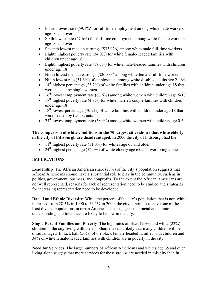- Fourth lowest rate (59.1%) for full-time employment among white male workers age 16 and over
- Sixth lowest rate (47.6%) for full-time employment among white female workers age 16 and over
- Seventh lowest median earnings (\$33,926) among white male full-time workers
- Eighth highest poverty rate (34.0%) for white female-headed families with children under age 18
- Eighth highest poverty rate (18.3%) for white male-headed families with children under age 18
- Ninth lowest median earnings (\$26,383) among white female full-time workers
- Ninth lowest rate (51.6%) of employment among white disabled adults age 21-64
- $\bullet$  14<sup>th</sup> highest percentage (23.2%) of white families with children under age 18 that were headed by single women
- 16<sup>th</sup> lowest employment rate (67.6%) among white women with children age 6-17
- 17<sup>th</sup> highest poverty rate  $(4.8\%)$  for white married-couple families with children under age 18
- $\bullet$  18<sup>th</sup> lowest percentage (70.7%) of white families with children under age 18 that were headed by two parents
- 24<sup>th</sup> lowest employment rate (58.4%) among white women with children age 0-5

**The comparison of white conditions in the 70 largest cities shows that white elderly in the city of Pittsburgh are disadvantaged.** In 2000 the city of Pittsburgh had the:

- 11<sup>th</sup> highest poverty rate (11.0%) for whites age 65 and older
- 24<sup>th</sup> highest percentage (52.9%) of white elderly age 65 and over living alone

#### **IMPLICATIONS**

**Leadership** The African American share (27%) of the city's population suggests that African Americans should have a substantial role to play in the community, such as in politics, government, business, and nonprofits. To the extent the African Americans are not well represented, reasons for lack of representation need to be studied and strategies for increasing representation need to be developed.

**Racial and Ethnic Diversity** While the percent of the city's population that is non-white increased from 28.5% in 1990 to 33.1% in 2000, the city continues to have one of the least diverse populations in urban America. This suggests that racial and ethnic understanding and tolerance are likely to be low in the city.

**Single-Parent Families and Poverty** The high rates of black (70%) and white (22%) children in the city living with their mothers makes it likely that many children will be disadvantaged. In fact, half (50%) of the black female-headed families with children and 34% of white female-headed families with children are in poverty in the city.

**Need for Services** The large numbers of African Americans and whites age 65 and over living alone suggest that more services for these groups are needed in this city than in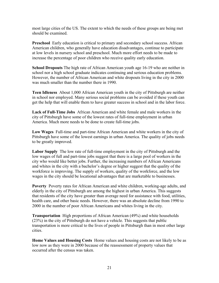most large cities of the US. The extent to which the needs of these groups are being met should be examined.

**Preschool** Early education is critical to primary and secondary school success. African American children, who generally have education disadvantages, continue to participate at low levels in nursery school and preschool. Much more effort needs to be made to increase the percentage of poor children who receive quality early education.

**School Dropouts** The high rate of African American youth age 16-19 who are neither in school nor a high school graduate indicates continuing and serious education problems. However, the number of African American and white dropouts living in the city in 2000 was much smaller than the number there in 1990.

**Teen Idleness** About 1,000 African American youth in the city of Pittsburgh are neither in school nor employed. Many serious social problems can be avoided if these youth can get the help that will enable them to have greater success in school and in the labor force.

**Lack of Full-Time Jobs** African American and white female and male workers in the city of Pittsburgh have some of the lowest rates of full-time employment in urban America. Much more needs to be done to create full-time jobs.

**Low Wages** Full-time and part-time African American and white workers in the city of Pittsburgh have some of the lowest earnings in urban America. The quality of jobs needs to be greatly improved.

**Labor Supply** The low rate of full-time employment in the city of Pittsburgh and the low wages of full and part-time jobs suggest that there is a large pool of workers in the city who would like better jobs. Further, the increasing numbers of African Americans and whites in the city with a bachelor's degree or higher suggest that the quality of the workforce is improving. The supply of workers, quality of the workforce, and the low wages in the city should be locational advantages that are marketable to businesses.

**Poverty** Poverty rates for African American and white children, working-age adults, and elderly in the city of Pittsburgh are among the highest in urban America. This suggests that residents of the city have greater than average need for assistance with food, utilities, health care, and other basic needs. However, there was an absolute decline from 1990 to 2000 in the number of poor African Americans and whites living in the city.

**Transportation** High proportions of African American (49%) and white households (23%) in the city of Pittsburgh do not have a vehicle. This suggests that public transportation is more critical to the lives of people in Pittsburgh than in most other large cities.

**Home Values and Housing Costs** Home values and housing costs are not likely to be as low now as they were in 2000 because of the reassessment of property values that occurred after the census was taken.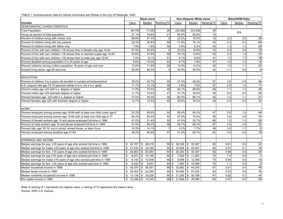TABLE 1. Socioeconomic Data for African Americans and Whites in the City of Pittsburgh, 2000

|                                                                             |                   | <b>Black alone</b>       |                         |              | Non-Hispanic White alone            |            |       | <b>Black/NHW Ratio</b> |                 |
|-----------------------------------------------------------------------------|-------------------|--------------------------|-------------------------|--------------|-------------------------------------|------------|-------|------------------------|-----------------|
| Variable                                                                    | Value             | Median                   | Ranking/70              | Value        | Median                              | Ranking/70 | Value | Median                 | Ranking/70      |
| DEMOGRAPHIC CHARACTERISTICS                                                 |                   |                          |                         |              |                                     |            |       |                        |                 |
| <b>Total Population</b>                                                     | 90,750            | 77,283                   | 29                      | 223,982      | 223,939                             | 35         |       | N/A                    |                 |
| Group as percent of total population                                        | 27.1%             | 16.8%                    | 21                      | 66.9%        | 50.5%                               | 14         |       |                        |                 |
| Percent of children living with mother only                                 | 69.9%             | 57.4%                    | $\overline{2}$          | 22.2%        | 18.3%                               | 12         | 3.2   | 3.0                    | 28              |
| Percent of children living with two parents                                 | 22.3%             | 34.8%                    | 69                      | 71.9%        | 75.1%                               | 53         | 0.3   | 0.5                    | 68              |
| Percent of children living with father only                                 | 7.9%              | 7.8%                     | $\overline{34}$         | 5.9%         | 6.3%                                | 40         | 1.3   | 1.3                    | 29              |
| Percent of hhs with own children <18 whose hher is female only age 15-64    | 67.9%             | 54.8%                    | $\overline{\mathbf{4}}$ | 23.2%        | 19.5%                               | 14         | 2.9   | 2.6                    | 18              |
| Percent of hhs with own children <18 whose hher is married-couple age 15-64 | 24.6%             | 37.6%                    | 68                      | 70.7%        | 73.6%                               | 53         | 0.3   | 1.9                    | 67              |
| Percent of hhs with own children <18 whose hher is male only age 15-64      | 7.5%              | 8.1%                     | 51                      | 6.1%         | 6.8%                                | 41         | 1.2   | 1.3                    | 39              |
| Percent disabled among population 5 to 20 years of age                      | 9.8%              | 10.0%                    | 42                      | 6.7%         | 7.8%                                | 57         | 1.5   | 1.3                    | 16              |
| Percent veterans among civilian population 18 years of age and over         | 12.6%             | 11.9%                    | 28                      | 13.2%        | 13.5%                               | 42         | 1.0   | 1.1                    | 25              |
| Percent living alone, age 65 and over                                       | 55.9%             | 46.3%                    | $\overline{3}$          | 52.9%        | 50.5%                               | 24         | 1.1   | 0.9                    | 8               |
| <b>EDUCATION</b>                                                            |                   |                          |                         |              |                                     |            |       |                        |                 |
| Percent of children 3 to 5 years old enrolled in nursery school/preschool   | 38.5%             | 42.7%                    | 48                      | 47.3%        | 46.2%                               | 27         | 0.8   | 0.9                    | 56              |
| H.S. dropout rate age 16-19 (percent neither in h.s. nor a h.s. grad)       | 11.7%             | 12.1%                    | 39                      | 4.6%         | 7.6%                                | 57         | 2.5   | 1.4                    | 11              |
| Percent males age ≥25 with h.s. degree or higher                            | 71.9%             | 75.5%                    | 48                      | 84.1%        | 89.0%                               | 60         | 1.1   | 1.2                    | 46              |
| Percent males age ≥25 bachelor degree or higher                             | 11.7%             | 14.0%                    | 47                      | 31.7%        | 36.0%                               | 46         | 0.4   | 0.4                    | 36              |
| Percent females age ≥25 with h.s. degree or higher                          | 77.5%             | 76.3%                    | 30                      | 82.0%        | 88.1%                               | 62         | 1.2   | 1.1                    | $\overline{27}$ |
| Percent females age ≥25 with bachelor degree or higher                      | 12.7%             | 14.5%                    | 49                      | 26.4%        | 30.5%                               | 49         | 0.5   | 0.5                    | 32              |
|                                                                             |                   |                          |                         |              |                                     |            |       |                        |                 |
| <b>WORK</b>                                                                 |                   |                          |                         |              |                                     |            |       |                        |                 |
| Percent employed among women age 16-64 with at least one child under age 6  | 53.2%             | 58.8%                    | 54                      | 58.4%        | 60.3%                               | 47         | 0.9   | 1.0                    | 49              |
| Percent employed among women age 16-64 with at least one child age 6-17     | 64.0%             | 65.4%                    | 42                      | 67.6%        | 70.4%                               | 55         | 0.9   | 0.9                    | $\overline{34}$ |
| Percent of female workers age 16 and above employed full-time in 1999       | 47.0%             | 51.4%                    | 55                      | 47.6%        | 52.7%                               | 65         | 1.0   | 1.0                    | 28              |
| Percent of male workers age 16 and above employed full-time in 1999         | 51.9%             | 56.2%                    | 58                      | 59.1%        | 66.3%                               | 67         | 0.9   | 0.9                    | 22              |
| Percent idle, age 16-19: not in school, armed forces, or labor force        | 18.3%             | 14.1%                    | $\overline{7}$          | 5.3%         | 7.7%                                | 58         | 3.5   | 1.7                    | $6\phantom{a}$  |
| Percent employed among disabled age 21-64                                   | 46.2%             | 50.6%                    | 47                      | 51.6%        | 60.7%                               | 62         | 0.9   | 0.9                    | $\overline{18}$ |
| <b>EARNINGS AND INCOME</b>                                                  |                   |                          |                         |              |                                     |            |       |                        |                 |
| Median earnings for pop. ≥16 years of age who worked full-time in 1999      | 24,787<br>\$      | $\mathfrak{S}$<br>26,918 | 59 \$                   | 30,506       | \$<br>35,367                        | 65         | 0.81  | 0.8                    | 22              |
| Median earnings for males ≥16 years of age who worked full-time in 1999     | $27,432$ \$<br>\$ | 29,198                   | 55 \$                   | 33,926       | \$<br>40,097                        | 64         | 0.81  | 0.7                    | 16              |
| Median earnings for fem. ≥16 years of age who worked full-time in 1999      | $22,563$ \$<br>\$ | 25,263                   | 60 \$                   | 26,383       | \$30,367                            | 62         | 0.86  | 0.8                    | 25              |
| Median earnings for pop.≥16 years of age who worked part-time in 1999       | 8,072 \$<br>\$    | 10,199                   | 68 \$                   | 7,829        | \$<br>11,202                        | 70         | 1.0   | 0.9                    | $\overline{7}$  |
| Median earnings for males ≥16 years of age who worked part-time in 1999     | \$<br>8,144       | $\sqrt{3}$<br>10,508     | 68 \$                   | 8,699        | $\mathfrak s$<br>12,358             | 70         | 0.94  | 0.8                    | 15              |
| Median earnings for fem. ≥16 years of age who worked part-time in 1999      | 8,022<br>\$       | $\sqrt{3}$<br>9,637      | 64 \$                   | 7,265        | $\boldsymbol{\mathsf{s}}$<br>10,388 | 70         | 1.1   | 0.9                    | 5               |
| Median household income in 1999                                             | $20,075$ \$<br>\$ | 28,301                   | $66$ \$                 | 32,692       | $\boldsymbol{\mathsf{s}}$<br>44,205 | 67         | 0.61  | 0.6                    | 46              |
|                                                                             | 24,002<br>\$      | $\mathfrak s$<br>32,299  | 66                      | \$<br>45,656 | \$<br>57,035                        | 63         | 0.53  | 0.6                    | 45              |
| Median family income in 1999                                                |                   |                          |                         | 21,290       |                                     | 67         |       | 0.7                    | $\overline{44}$ |
| Median nonfamily household income in 1999                                   | 13,138<br>\$      | 20,028<br>l \$           | 66 \$                   | 21.849       | \$<br>30,189                        |            | 0.62  |                        | 29              |
| Per capita income in 1999                                                   | 12,356            | $\sqrt{3}$<br>14,235     | 58 \$                   |              | \$<br>26,290                        | 64         | 0.57  | 0.5                    |                 |

Note: A ranking of 1 represents the highest value; a ranking of 70 represents the lowest value. Source: 2000 U.S. Census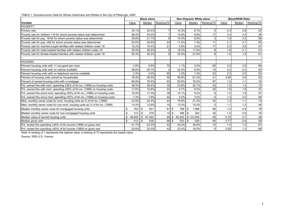TABLE 1. Socioeconomic Data for African Americans and Whites in the City of Pittsburgh, 2000

|                                                                             |           | <b>Black alone</b> |                 |        | Non-Hispanic White alone |            |       | <b>Black/NHW Ratio</b> |            |
|-----------------------------------------------------------------------------|-----------|--------------------|-----------------|--------|--------------------------|------------|-------|------------------------|------------|
| <b>Variable</b>                                                             | Value     | Median             | Ranking/70      | Value  | Median                   | Ranking/70 | Value | Median                 | Ranking/70 |
| <b>POVERTY</b>                                                              |           |                    |                 |        |                          |            |       |                        |            |
| Poverty rate                                                                | 34.1%     | 25.4%              |                 | 14.3%  | 8.7%                     | 5          | 2.4   | 2.8                    | 52         |
| Poverty rate for children <18 for whom poverty status was determined        | 46.0%     | 34.0%              |                 | 13.6%  | 8.9%                     | 17         | 3.4   | 3.4                    | 38         |
| Poverty rate for pop. 18-64 for whom poverty status was determined          | 29.8%     | 21.7%              | 6               | 15.4%  | 8.9%                     | 3          | 1.9   | 2.3                    | 58         |
| Poverty rate for pop. $\geq 65$ for whom poverty status was determined      | 22.6%     | 20.8%              | 24              | 11.0%  | 7.3%                     | 11         | 2.1   | 2.7                    | 54         |
| Poverty rate for married-couple families with related children under 18     | 12.2%     | 10.4%              | 21              | 4.8%   | 3.4%                     | 17         | 2.5   | 2.6                    | 37         |
| Poverty rate for male-headed families with related children under 18        | 35.5%     | 26.5%              | 5               | 18.3%  | 11.5%                    | 8          | 1.9   | 2.1                    | 41         |
| Poverty rate for female-headed families with related children under 18      | 50.3%     | 40.2%              | $\overline{9}$  | 34.0%  | 21.6%                    | 8          | 1.5   | 1.8                    | 51         |
| <b>HOUSING</b>                                                              |           |                    |                 |        |                          |            |       |                        |            |
| Percent housing units with >1 occupant per room                             | 2.8%      | 9.5%               | 70              | 1.1%   | 2.0%                     | 65         | 2.5   | 3.9                    | 66         |
| Percent housing units with no vehicle available                             | 48.6%     | 20.7%              | $\overline{2}$  | 22.5%  | 8.5%                     | 10         | 2.2   | 2.4                    | 43         |
| Percent housing units with no telephone service available                   | 2.3%      | 4.0%               | 60              | 1.0%   | 1.3%                     | 53         | 2.3   | 2.9                    | 53         |
| Percent of housing units owned by householder                               | 35.9%     | 38.5%              | 50              | 59.9%  | 61.2%                    | 41         | 0.60  | 0.6                    | 52         |
| Percent of owned housing units with a mortgage                              | 66.8%     | 78.5%              | 63              | 55.8%  | 70.5%                    | 67         | 1.2   | 1.1                    | 16         |
| Pct. owned hhs with mort. spending ≥30% of hh inc. (1999) on housing costs  | 36.5%     | 36.4%              | 35              | 23.6%  | 25.1%                    | 43         | 1.5   | 1.4                    | 13         |
| Pct. owned hhs with mort. spending ≥50% of hh inc. (1999) on housing costs  | 17.6%     | 15.8%              | 22              | 9.7%   | 8.3%                     | 25         | 1.8   | 1.8                    | 37         |
| Pct. owned hhs w/out mort. spending ≥30% of hh inc. (1999) on housing costs | 16.9%     | 17.3%              | 39              | 14.1%  | 9.2%                     | 9          | 1.2   | 1.8                    | 57         |
| Pct. owned hhs w/out mort. spending ≥50% of hh inc. (1999) on housing costs | 7.4%      | 7.9%               | 42              | 5.5%   | 3.5%                     | 9          | 1.3   | 2.0                    | 59         |
| Med. monthly owner costs for mort. housing units as % of hh inc. (1999)     | 23.9%     | 24.4%              | 44              | 19.9%  | 21.3%                    | 52         | 1.2   | 1.1                    | 13         |
| Med. monthly owner costs for non-mort. housing units as % of hh inc. (1999) | 14.4%     | 12.6%              | 10              | 13.3%  | 10.0%                    | 5          | 1.1   | 1.2                    | 49         |
| Median monthly owner costs for mortgaged housing units                      | \$<br>763 | 921<br>\$          | 61S             | 799    | 1,096<br>\$              | 66         | 1.0   | 0.9                    | 18         |
| Median monthly owner costs for non-mortgaged housing units                  | \$<br>313 | 279<br>ደ           | $15$ $\sqrt{5}$ | 308    | 303<br>\$                | 32         | 1.0   | 0.9                    | 16         |
| Median value of owned housing units                                         | 46,600    | 87,450<br>\$       | 69 \$           | 62,200 | \$123,050                | 69         | 0.75  | 0.7                    | 28         |
| Median gross rent                                                           | \$<br>412 | \$<br>536          | 68 \$           | 533    | \$<br>638                | 60         | 0.77  | 0.9                    | 58         |
| Pct. rented hhs spending ≥30% of hh income (1999) on gross rent             | 41.7%     | 42.3%              | 42              | 40.2%  | 36.6%                    | 15         | 1.0   | 1.2                    | 61         |
| Pct. rented hhs spending ≥50% of hh income (1999) on gross rent             | 20.6%     | 22.0%              | 42              | 22.4%  | 16.5%                    | 6          | 0.92  | 1.3                    | 68         |

Note: A ranking of 1 represents the highest value; a ranking of 70 represents the lowest value.

Source: 2000 U.S. Census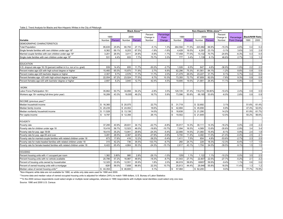#### Table 2. Trend Analysis for Blacks and Non-Hispanic Whites in the City of Pittsburgh

|                                                                         |           | <b>Black Alone***</b> |              |         |           |            | Non-Hispanic White alone*** |         |              |         |           |                     |                        |       |
|-------------------------------------------------------------------------|-----------|-----------------------|--------------|---------|-----------|------------|-----------------------------|---------|--------------|---------|-----------|---------------------|------------------------|-------|
|                                                                         |           |                       |              |         | Percent   | Percentage |                             |         |              |         | Percent   |                     |                        |       |
|                                                                         | 1990      |                       | 2000         |         | Change in | Point      | 1990                        |         | 2000         |         | Change in | Percentage          | <b>Black/NHW Ratio</b> |       |
| Variable                                                                | Number    | Percent               | Number       | Percent | Number    | Change     | Number                      | Percent | Number       | Percent | Number    | <b>Point Change</b> | 1990                   | 2000  |
| DEMOGRAPHIC CHARACTERISTICS                                             |           |                       |              |         |           |            |                             |         |              |         |           |                     |                        |       |
| <b>Total Population</b>                                                 | 95,635    | 25.9%                 | 90,750       | 27.1%   | $-5.1%$   | 1.3%       | 264,594                     | 71.5%   | 223,982      | 66.9%   | $-15.3%$  | $-4.6%$             | 0.4                    | 0.4   |
| Single female families with own children under age 18*                  | 8,362     | 69.1%                 | 8,203        | 67.5%   | $-1.9%$   | $-1.6%$    | 4,428                       | 19.5%   | 4,291        | 23.1%   | $-3.1%$   | 3.6%                | 3.5                    | 2.9   |
| Married couple families with own children under age 18*                 | 3,201     | 26.5%                 | 3,011        | 24.8%   | $-5.9%$   | $-1.7%$    | 17,458                      | 77.0%   | 13,132       | 70.7%   | $-24.8%$  | $-6.3%$             | 0.3                    | 0.4   |
| Single male families with own children under age 18*                    | 531       | 4.4%                  | 933          | 7.7%    | 75.7%     | 3.3%       | 777                         | 3.4%    | 1,139        | 6.1%    | 46.6%     | 2.7%                | 1.3                    | 1.3   |
|                                                                         |           |                       |              |         |           |            |                             |         |              |         |           |                     |                        |       |
| <b>EDUCATION</b>                                                        |           |                       |              |         |           |            |                             |         |              |         |           |                     |                        |       |
| H.S. dropout rate age 16-19 (percent neither in h.s. nor a h.s. grad)   | 939       | 14.4%                 | 655          | 11.7%   | $-30.2%$  | $-2.7%$    | 1,026                       | 6.5%    | 647          | 4.6%    | $-36.9%$  | $-1.9%$             | 2.2                    | 2.5   |
| Percent males age ≥25 with high school degree or higher                 | 15.460    | 65.0%                 | 15,870       | 71.9%   | 2.7%      | 6.9%       | 62.296                      | 75.3%   | 61.561       | 84.1%   | $-1.2%$   | 8.8%                | 0.9                    | 0.9   |
| Percent males age ≥25 bachelor degree or higher                         | 2,307     | 9.7%                  | 2,576        | 11.7%   | 11.7%     | 2.0%       | 21,479                      | 26.0%   | 23,227       | 31.7%   | 8.1%      | 5.7%                | 0.4                    | 0.4   |
| Percent females age ≥25 with high school degree or higher               | 22,054    | 67.2%                 | 23,524       | 77.5%   | 6.7%      | 10.3%      | 73,355                      | 72.7%   | 67,809       | 82.0%   | $-7.6%$   | 9.3%                | 0.9                    | 0.9   |
| Percent females age ≥25 with bachelor degree or higher                  | 2,697     | 8.2%                  | 3,840        | 12.7%   | 42.4%     | 4.5%       | 19,695                      | 19.5%   | 21,881       | 26.4%   | 11.1%     | 6.9%                | 0.4                    | 0.5   |
|                                                                         |           |                       |              |         |           |            |                             |         |              |         |           |                     |                        |       |
| <b>WORK</b>                                                             |           |                       |              |         |           |            |                             |         |              |         |           |                     |                        |       |
| Labor Force Participation 16+                                           | 35.862    | 50.7%                 | 34.856       | 54.2%   | $-2.8%$   | 3.5%       | 129,725                     | 57.4%   | 116.219      | 59.80%  | $-10.4%$  | 2.4%                | 0.9                    | 0.9   |
| Workers age 16+ working full-time (prior year)                          | 16,289    | 43.3%                 | 19,005       | 49.2%   | 16.7%     | 5.9%       | 73,596                      | 50.8%   | 69,165       | 53.6%   | $-6.0%$   | 2.8%                | 0.9                    | 0.9   |
|                                                                         |           |                       |              |         |           |            |                             |         |              |         |           |                     |                        |       |
| INCOME (previous year)**                                                |           |                       |              |         |           |            |                             |         |              |         |           |                     |                        |       |
| Median household income                                                 | \$16,360  |                       | \$ 20,075    |         | 22.7%     |            | 31,719<br>S                 |         | \$ 32,692    |         | 3.1%      |                     | 51.6%                  | 61.4% |
| Median family income                                                    | \$ 20,239 |                       | \$ 24,002    |         | 18.6%     |            | 42,694<br>\$                |         | \$45,656     |         | 6.9%      |                     | 47.4%                  | 52.6% |
| Median nonfamily household income                                       | \$11.528  |                       | \$13,138     |         | 14.0%     |            | \$.<br>18,638               |         | \$ 21,290    |         | 14.2%     |                     | 61.9%                  | 61.7% |
| Per capita income                                                       | \$9,797   |                       | \$12,356     |         | 26.1%     |            | 19,502<br>\$                |         | \$21,849     |         | 12.0%     |                     | 50.2%                  | 56.6% |
|                                                                         |           |                       |              |         |           |            |                             |         |              |         |           |                     |                        |       |
| POVERTY                                                                 |           |                       |              |         |           |            |                             |         |              |         |           |                     |                        |       |
| Poverty rate                                                            | 37,295    | 40.9%                 | 28,831       | 34.1%   | $-22.7%$  | $-6.8%$    | 35,917                      | 14.3%   | 30,111       | 14.3%   | $-16.2%$  | 0.0%                | 2.9                    | 2.4   |
| Poverty rate for children under age 18                                  | 15,416    | 56.7%                 | 12.523       | 46.0%   | $-18.8%$  | $-10.7%$   | 7.094                       | 16.5%   | 4,569        | 13.6%   | $-35.6%$  | $-2.9%$             | 3.4                    | 3.4   |
| Poverty rate for pop. age 18-64                                         | 18,410    | 35.2%                 | 13,941       | 29.8%   | $-24.3%$  | $-5.4%$    | 22,906                      | 14.5%   | 21,060       | 15.4%   | $-8.1%$   | 0.9%                | 2.4                    | 1.9   |
| Poverty rate for pop. age 65 and over                                   | 3,281     | 28.5%                 | 2,367        | 22.6%   | $-27.9%$  | $-5.9%$    | 5,700                       | 11.4%   | 4,482        | 11.0%   | $-21.4%$  | $-0.4%$             | 2.5                    | 2.1   |
| Poverty rate for married-couple families with related children under 18 | 673       | 17.6%                 | 416          | 12.2%   | $-38.2%$  | $-5.4%$    | 1,411                       | 7.5%    | 654          | 4.8%    | $-53.6%$  | $-2.7%$             | 2.3                    | 2.5   |
| Poverty rate for male-headed families with related children under 18    | 315       | 42.2%                 | 736          | 35.5%   | 133.7%    | $-6.7%$    | 260                         | 24.7%   | 228          | 18.3%   | $-12.3%$  | $-6.4%$             | 1.7                    | 1.9   |
| Poverty rate for female-headed families with related children under 18  | 6,422     | 65.4%                 | 4,864        | 50.3%   | $-24.3%$  | $-15.1%$   | 2,817                       | 43.1%   | 1,704        | 34.0%   | $-39.5%$  | $-9.1%$             | 1.5                    | 1.5   |
|                                                                         |           |                       |              |         |           |            |                             |         |              |         |           |                     |                        |       |
| <b>HOUSING</b>                                                          |           |                       |              |         |           |            |                             |         |              |         |           |                     |                        |       |
| Percent housing units with >1 occupant per room                         | 1,382     | 3.80%                 | 980          | 2.8%    | $-29.1%$  | $-1.0%$    | 1250                        | 1.1%    | 1,122        | 1.1%    | $-10.2%$  | 0.0%                | 3.5                    | 2.5   |
| Percent housing units with no vehicle available                         | 20,786    | 57.2%                 | 16,987       | 48.6%   | $-18.3%$  | $-8.7%$    | 31,543                      | 27.7%   | 22.807       | 22.5%   | $-27.7%$  | $-5.2%$             | 2.1                    | 2.2   |
| Percent of housing units owned by householder                           | 12,325    | 33.9%                 | 12,551       | 35.9%   | 1.8%      | 2.0%       | 66,919                      | 58.8%   | 60657        | 59.9%   | $-9.4%$   | 1.1%                | 0.6                    | 0.6   |
| Percent of owned housing units with a mortgage                          | 626       | 56.0%                 | 7,658        | 66.8%   | 22.3%     | 10.7%      | 25,813                      | 44.4%   | 29,946       | 55.8%   | 16.0%     | 11.4%               | 1.3                    | 1.2   |
| Median value of owned housing units**                                   | \$44.354  |                       | 46.600<br>\$ |         | 5.1%      |            | 57.084<br>\$                |         | 62.200<br>\$ |         | 9.0%      |                     | 77.7%                  | 74.9% |

\*Non-Hispanic white data are not available for 1990, so white only data were used for 1990 and 2000.

\*\*Income data and median value of owned occupied housing units is adjusted for inflation (34%) to match 1999 dollars, U.S. Bureau of Labor Statistics

\*\*\*In the 2000 census respondents could select single or multiple racial categories, whereas in 1990 respondents with multiple racial identities could select only one race.

Source: 1990 and 2000 U.S. Census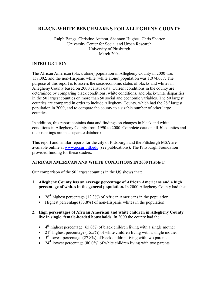### **BLACK-WHITE BENCHMARKS FOR ALLEGHENY COUNTY**

#### Ralph Bangs, Christine Anthou, Shannon Hughes, Chris Shorter University Center for Social and Urban Research University of Pittsburgh March 2004

#### **INTRODUCTION**

The African American (black alone) population in Allegheny County in 2000 was 158,002, and the non-Hispanic white (white alone) population was 1,074,037. The purpose of this report is to assess the socioeconomic status of blacks and whites in Allegheny County based on 2000 census data. Current conditions in the county are determined by comparing black conditions, white conditions, and black-white disparities in the 50 largest counties on more than 50 social and economic variables. The 50 largest counties are compared in order to include Allegheny County, which had the  $28<sup>th</sup>$  largest population in 2000, and to compare the county to a sizable number of other large counties.

In addition, this report contains data and findings on changes in black and white conditions in Allegheny County from 1990 to 2000. Complete data on all 50 counties and their rankings are in a separate databook.

This report and similar reports for the city of Pittsburgh and the Pittsburgh MSA are available online at www.ucsur.pitt.edu (see publications). The Pittsburgh Foundation provided funding for these studies.

#### **AFRICAN AMERICAN AND WHITE CONDITIONS IN 2000 (Table 1)**

Our comparison of the 50 largest counties in the US shows that:

- **1. Allegheny County has an average percentage of African Americans and a high percentage of whites in the general population.** In 2000 Allegheny County had the:
	- 26<sup>th</sup> highest percentage (12.3%) of African Americans in the population
	- Highest percentage  $(83.8\%)$  of non-Hispanic whites in the population

#### **2. High percentages of African American and white children in Allegheny County live in single, female-headed households.** In 2000 the county had the:

- $\bullet$  4<sup>th</sup> highest percentage (65.0%) of black children living with a single mother
- 21<sup>st</sup> highest percentage (15.5%) of white children living with a single mother
- $5<sup>th</sup>$  lowest percentage (27.8%) of black children living with two parents
- 24<sup>th</sup> lowest percentage (80.0%) of white children living with two parents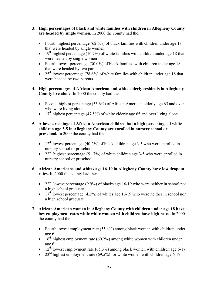- **3. High percentages of black and white families with children in Allegheny County are headed by single women.** In 2000 the county had the:
	- Fourth highest percentage (62.6%) of black families with children under age 18 that were headed by single women
	- 19<sup>th</sup> highest percentage (16.7%) of white families with children under age 18 that were headed by single women
	- Fourth lowest percentage (30.0%) of black families with children under age 18 that were headed by two parents
	- 25<sup>th</sup> lowest percentage (78.6%) of white families with children under age 18 that were headed by two parents
- **4. High percentages of African American and white elderly residents in Allegheny County live alone.** In 2000 the county had the:
	- Second highest percentage (53.6%) of African American elderly age 65 and over who were living alone
	- 17<sup>th</sup> highest percentage (47.5%) of white elderly age 65 and over living alone
- **5. A low percentage of African American children but a high percentage of white children age 3-5 in Allegheny County are enrolled in nursery school or preschool.** In 2000 the county had the:
	- 12<sup>th</sup> lowest percentage (40.2%) of black children age 3-5 who were enrolled in nursery school or preschool
	- 22<sup>nd</sup> highest percentage (51.7%) of white children age 3-5 who were enrolled in nursery school or preschool
- **6. African Americans and whites age 16-19 in Allegheny County have low dropout rates.** In 2000 the county had the:
	- 22<sup>nd</sup> lowest percentage (9.9%) of blacks age 16-19 who were neither in school nor a high school graduate
	- 17<sup>th</sup> lowest percentage (4.2%) of whites age 16-19 who were neither in school nor a high school graduate
- **7. African American women in Allegheny County with children under age 18 have low employment rates while white women with children have high rates.** In 2000 the county had the:
	- Fourth lowest employment rate (55.4%) among black women with children under age 6
	- $16<sup>th</sup>$  highest employment rate (60.2%) among white women with children under age 6
	- $12^{\text{th}}$  lowest employment rate (65.3%) among black women with children age 6-17
	- 23<sup>rd</sup> highest employment rate (69.5%) for white women with children age 6-17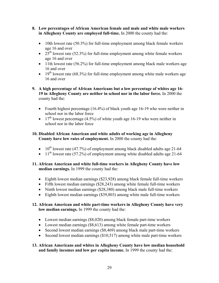- **8. Low percentages of African American female and male and white male workers in Allegheny County are employed full-time.** In 2000 the county had the:
	- 10th lowest rate (50.3%) for full-time employment among black female workers age 16 and over
	- $25<sup>th</sup>$  lowest rate (52.3%) for full-time employment among white female workers age 16 and over
	- 11th lowest rate (56.2%) for full-time employment among black male workers age 16 and over
	- 19<sup>th</sup> lowest rate (68.3%) for full-time employment among white male workers age 16 and over
- **9. A high percentage of African Americans but a low percentage of whites age 16- 19 in Allegheny County are neither in school nor in the labor force.** In 2000 the county had the:
	- Fourth highest percentage (16.4%) of black youth age 16-19 who were neither in school nor in the labor force
	- 17<sup>th</sup> lowest percentage (4.5%) of white youth age 16-19 who were neither in school nor in the labor force

#### **10. Disabled African American and white adults of working age in Allegheny County have low rates of employment.** In 2000 the county had the:

- $10^{th}$  lowest rate (47.7%) of employment among black disabled adults age 21-64
- $11<sup>th</sup>$  lowest rate (57.2%) of employment among white disabled adults age 21-64

#### **11. African American and white full-time workers in Allegheny County have low median earnings.** In 1999 the county had the:

- Eighth lowest median earnings (\$23,928) among black female full-time workers
- Fifth lowest median earnings (\$28,243) among white female full-time workers
- Ninth lowest median earnings (\$28,380) among black male full-time workers
- Eighth lowest median earnings (\$39,803) among white male full-time workers

#### **12. African American and white part-time workers in Allegheny County have very low median earnings.** In 1999 the county had the:

- Lowest median earnings (\$8,020) among black female part-time workers
- Lowest median earnings (\$8,613) among white female part-time workers
- Second lowest median earnings (\$8,469) among black male part-time workers
- Second lowest median earnings (\$10,517) among white male part-time workers

#### **13. African Americans and whites in Allegheny County have low median household and family incomes and low per capita income.** In 1999 the county had the: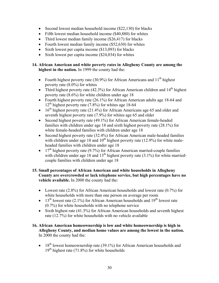- Second lowest median household income (\$22,130) for blacks
- Fifth lowest median household income (\$40,880) for whites
- Third lowest median family income (\$26,417) for blacks
- Fourth lowest median family income (\$52,630) for whites
- Sixth lowest per capita income (\$13,093) for blacks
- Sixth lowest per capita income (\$24,034) for whites

#### **14. African American and white poverty rates in Allegheny County are among the highest in the nation.** In 1999 the county had the:

- Fourth highest poverty rate (30.9%) for African Americans and  $11<sup>th</sup>$  highest poverty rate (8.0%) for whites
- Third highest poverty rate (42.3%) for African American children and  $14<sup>th</sup>$  highest poverty rate (8.6%) for white children under age 18
- Fourth highest poverty rate (26.1%) for African American adults age 18-64 and  $12<sup>th</sup>$  highest poverty rate (7.8%) for whites age 18-64
- 16<sup>th</sup> highest poverty rate  $(21.4\%)$  for African Americans age 65 and older and seventh highest poverty rate (7.9%) for whites age 65 and older
- Second highest poverty rate (49.1%) for African American female-headed families with children under age 18 and sixth highest poverty rate (28.1%) for white female-headed families with children under age 18
- Second highest poverty rate (32.4%) for African American male-headed families with children under age 18 and  $10<sup>th</sup>$  highest poverty rate (12.9%) for white maleheaded families with children under age 18
- 17<sup>th</sup> highest poverty rate  $(9.7%)$  for African American married-couple families with children under age 18 and  $13<sup>th</sup>$  highest poverty rate (3.1%) for white marriedcouple families with children under age 18

#### **15. Small percentages of African American and white households in Allegheny County are overcrowded or lack telephone service, but high percentages have no vehicle available.** In 2000 the county had the:

- Lowest rate (2.8%) for African American households and lowest rate (0.7%) for white households with more than one person on average per room
- 13<sup>th</sup> lowest rate (2.1%) for African American households and  $19<sup>th</sup>$  lowest rate (0.7%) for white households with no telephone service
- Sixth highest rate (41.3%) for African American households and seventh highest rate (12.7%) for white households with no vehicle available

#### **16. African American homeownership is low and white homeownership is high in Allegheny County, and median home values are among the lowest in the nation.**  In 2000 the county had the:

• 18<sup>th</sup> lowest homeownership rate (39.1%) for African American households and  $19<sup>th</sup>$  highest rate (71.8%) for white households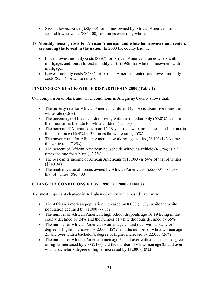• Second lowest value (\$52,000) for homes owned by African Americans and second lowest value (\$86,400) for homes owned by whites

#### **17. Monthly housing costs for African American and white homeowners and renters are among the lowest in the nation.** In 2000 the county had the:

- Fourth lowest monthly costs (\$797) for African American homeowners with mortgages and fourth lowest monthly costs (\$986) for white homeowners with mortgages
- Lowest monthly costs (\$433) for African American renters and lowest monthly costs (\$533) for white renters

### **FINDINGS ON BLACK-WHITE DISPARITIES IN 2000 (Table 1)**

Our comparison of black and white conditions in Allegheny County shows that:

- The poverty rate for African American children (42.3%) is about five times the white rate  $(8.6\%)$
- The percentage of black children living with their mother only  $(65.0\%)$  is more than four times the rate for white children (15.5%)
- The percent of African American 16-19 year-olds who are neither in school nor in the labor force  $(16.4\%)$  is 3.6 times the white rate  $(4.5\%)$
- The poverty rate for African American working-age adults  $(26.1\%)$  is 3.3 times the white rate (7.8%)
- The percent of African American households without a vehicle (41.3%) is 3.3 times the rate for whites (12.7%)
- The per capita income of African Americans (\$13,093) is 54% of that of whites (\$24,034)
- The median value of homes owned by African Americans (\$52,000) is 60% of that of whites (\$86,400)

### **CHANGE IN CONDITIONS FROM 1990 TO 2000 (Table 2)**

The most important changes in Allegheny County in the past decade were:

- The African American population increased by  $8,000$  (5.6%) while the white population declined by 91,000 (-7.8%)
- The number of African American high school dropouts age 16-19 living in the county declined by 24% and the number of white dropouts declined by 35%
- The number of African American women age 25 and over with a bachelor's degree or higher increased by 2,000 (42%) and the number of white women age 25 and over with a bachelor's degree or higher increased by 22,000 (26%)
- The number of African American men age 25 and over with a bachelor's degree or higher increased by 900 (21%) and the number of white men age 25 and over with a bachelor's degree or higher increased by 11,000 (10%)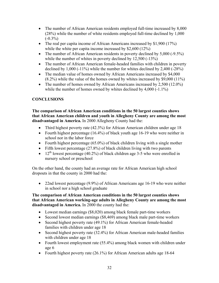- The number of African American residents employed full-time increased by 8,000 (28%) while the number of white residents employed full-time declined by 1,000  $(-0.3\%)$
- The real per capita income of African Americans increased by \$1,900 (17%) while the white per capita income increased by \$2,600 (12%)
- The number of African American residents in poverty declined by 5,000 (-9.5%) while the number of whites in poverty declined by 12,500 (-13%)
- The number of African American female-headed families with children in poverty declined by 1,000 (-11%) while the number for whites declined by 2,400 (-28%)
- The median value of homes owned by African Americans increased by \$4,000 (8.2%) while the value of the homes owned by whites increased by \$9,000 (11%)
- The number of homes owned by African Americans increased by 2,500 (12.0%) while the number of homes owned by whites declined by 4,000 (-1.1%)

### **CONCLUSIONS**

**The comparison of African American conditions in the 50 largest counties shows that African American children and youth in Allegheny County are among the most disadvantaged in America.** In 2000 Allegheny County had the:

- Third highest poverty rate (42.3%) for African American children under age 18
- Fourth highest percentage (16.4%) of black youth age 16-19 who were neither in school nor in the labor force
- Fourth highest percentage (65.0%) of black children living with a single mother
- Fifth lowest percentage (27.8%) of black children living with two parents
- 12<sup>th</sup> lowest percentage (40.2%) of black children age 3-5 who were enrolled in nursery school or preschool

On the other hand, the county had an average rate for African American high school dropouts in that the county in 2000 had the:

• 22nd lowest percentage (9.9%) of African Americans age 16-19 who were neither in school nor a high school graduate

#### **The comparison of African American conditions in the 50 largest counties shows that African American working-age adults in Allegheny County are among the most disadvantaged in America.** In 2000 the county had the:

- Lowest median earnings (\$8,020) among black female part-time workers
- Second lowest median earnings (\$8,469) among black male part-time workers
- Second highest poverty rate (49.1%) for African American female-headed families with children under age 18
- Second highest poverty rate (32.4%) for African American male-headed families with children under age 18
- Fourth lowest employment rate (55.4%) among black women with children under age 6
- Fourth highest poverty rate (26.1%) for African American adults age 18-64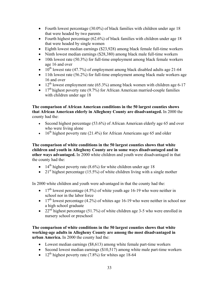- Fourth lowest percentage (30.0%) of black families with children under age 18 that were headed by two parents
- Fourth highest percentage (62.6%) of black families with children under age 18 that were headed by single women
- Eighth lowest median earnings (\$23,928) among black female full-time workers
- Ninth lowest median earnings (\$28,380) among black male full-time workers
- 10th lowest rate (50.3%) for full-time employment among black female workers age 16 and over
- $10^{th}$  lowest rate (47.7%) of employment among black disabled adults age 21-64
- 11th lowest rate (56.2%) for full-time employment among black male workers age 16 and over
- 12<sup>th</sup> lowest employment rate (65.3%) among black women with children age 6-17
- $\bullet$  17<sup>th</sup> highest poverty rate (9.7%) for African American married-couple families with children under age 18

**The comparison of African American conditions in the 50 largest counties shows that African American elderly in Allegheny County are disadvantaged.** In 2000 the county had the:

- Second highest percentage (53.6%) of African American elderly age 65 and over who were living alone
- 16<sup>th</sup> highest poverty rate (21.4%) for African Americans age 65 and older

**The comparison of white conditions in the 50 largest counties shows that white children and youth in Allegheny County are in some ways disadvantaged and in other ways advantaged.** In 2000 white children and youth were disadvantaged in that the county had the:

- 14<sup>th</sup> highest poverty rate  $(8.6\%)$  for white children under age 18
- 21<sup>st</sup> highest percentage (15.5%) of white children living with a single mother

In 2000 white children and youth were advantaged in that the county had the:

- 17<sup>th</sup> lowest percentage (4.5%) of white youth age 16-19 who were neither in school nor in the labor force
- 17<sup>th</sup> lowest percentage (4.2%) of whites age 16-19 who were neither in school nor a high school graduate
- 22<sup>nd</sup> highest percentage (51.7%) of white children age 3-5 who were enrolled in nursery school or preschool

**The comparison of white conditions in the 50 largest counties shows that white working-age adults in Allegheny County are among the most disadvantaged in urban America.** In 2000 the county had the:

- Lowest median earnings (\$8,613) among white female part-time workers
- Second lowest median earnings (\$10,517) among white male part-time workers
- 12<sup>th</sup> highest poverty rate (7.8%) for whites age 18-64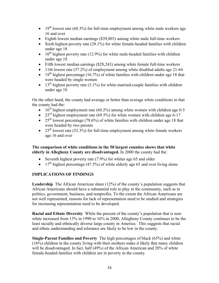- 19<sup>th</sup> lowest rate (68.3%) for full-time employment among white male workers age 16 and over
- Eighth lowest median earnings (\$39,803) among white male full-time workers
- Sixth highest poverty rate (28.1%) for white female-headed families with children under age 18
- $10^{th}$  highest poverty rate (12.9%) for white male-headed families with children under age 18
- Fifth lowest median earnings (\$28,243) among white female full-time workers
- 11th lowest rate (57.2%) of employment among white disabled adults age 21-64
- 19<sup>th</sup> highest percentage (16.7%) of white families with children under age 18 that were headed by single women
- $\bullet$  13<sup>th</sup> highest poverty rate (3.1%) for white married-couple families with children under age 18

On the other hand, the county had average or better than average white conditions in that the county had the:

- $16^{th}$  highest employment rate (60.2%) among white women with children age 0-5
- 23<sup>rd</sup> highest employment rate (69.5%) for white women with children age 6-17
- 25<sup>th</sup> lowest percentage (78.6%) of white families with children under age 18 that were headed by two parents
- 25<sup>th</sup> lowest rate (52.3%) for full-time employment among white female workers age 16 and over

#### **The comparison of white conditions in the 50 largest counties shows that white elderly in Allegheny County are disadvantaged.** In 2000 the county had the:

- Seventh highest poverty rate (7.9%) for whites age 65 and older
- 17<sup>th</sup> highest percentage (47.5%) of white elderly age 65 and over living alone

### **IMPLICATIONS OF FINDINGS**

**Leadership** The African American share (12%) of the county's population suggests that African Americans should have a substantial role to play in the community, such as in politics, government, business, and nonprofits. To the extent the African Americans are not well represented, reasons for lack of representation need to be studied and strategies for increasing representation need to be developed.

**Racial and Ethnic Diversity** While the percent of the county's population that is nonwhite increased from 13% in 1990 to 16% in 2000, Allegheny County continues to be the least racially and ethnically diverse large county in America. This suggests that racial and ethnic understanding and tolerance are likely to be low in the county.

**Single-Parent Families and Poverty** The high percentages of black (65%) and white (16%) children in the county living with their mothers make it likely that many children will be disadvantaged. In fact, half (49%) of the African American and 28% of white female-headed families with children are in poverty in the county.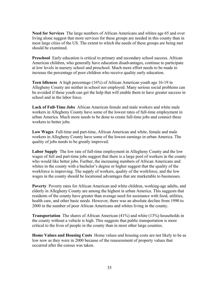**Need for Services** The large numbers of African Americans and whites age 65 and over living alone suggest that more services for these groups are needed in this county than in most large cities of the US. The extent to which the needs of these groups are being met should be examined.

**Preschool** Early education is critical to primary and secondary school success. African American children, who generally have education disadvantages, continue to participate at low levels in nursery school and preschool. Much more effort needs to be made to increase the percentage of poor children who receive quality early education.

**Teen Idleness** A high percentage (16%) of African American youth age 16-19 in Allegheny County are neither in school nor employed. Many serious social problems can be avoided if these youth can get the help that will enable them to have greater success in school and in the labor force.

**Lack of Full-Time Jobs** African American female and male workers and white male workers in Allegheny County have some of the lowest rates of full-time employment in urban America. Much more needs to be done to create full-time jobs and connect these workers to better jobs.

**Low Wages** Full-time and part-time, African American and white, female and male workers in Allegheny County have some of the lowest earnings in urban America. The quality of jobs needs to be greatly improved.

**Labor Supply** The low rate of full-time employment in Allegheny County and the low wages of full and part-time jobs suggest that there is a large pool of workers in the county who would like better jobs. Further, the increasing numbers of African Americans and whites in the county with a bachelor's degree or higher suggest that the quality of the workforce is improving. The supply of workers, quality of the workforce, and the low wages in the county should be locational advantages that are marketable to businesses.

**Poverty** Poverty rates for African American and white children, working-age adults, and elderly in Allegheny County are among the highest in urban America. This suggests that residents of the county have greater than average need for assistance with food, utilities, health care, and other basic needs. However, there was an absolute decline from 1990 to 2000 in the number of poor African Americans and whites living in the county.

**Transportation** The shares of African American (41%) and white (13%) households in the county without a vehicle is high. This suggests that public transportation is more critical to the lives of people in the county than in most other large counties.

**Home Values and Housing Costs** Home values and housing costs are not likely to be as low now as they were in 2000 because of the reassessment of property values that occurred after the census was taken.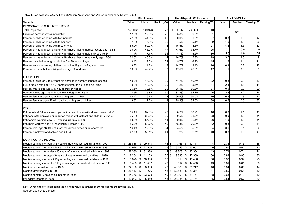Table 1. Socioeconomic Conditions of African Americans and Whites in Allegheny County, 2000

|                                                                               | <b>Black alone</b> |                        |                |                                            | Non-Hispanic White alone |                 |       | <b>Black/NHW Ratio</b> |                 |
|-------------------------------------------------------------------------------|--------------------|------------------------|----------------|--------------------------------------------|--------------------------|-----------------|-------|------------------------|-----------------|
| <b>Variable</b>                                                               | Value              | Median                 | Ranking/50     | Value                                      | Median                   | Ranking/50      | Value | Median                 | Ranking/50      |
| DEMOGRAPHIC CHARACTERISTICS                                                   |                    |                        |                |                                            |                          |                 |       |                        |                 |
| <b>Total Population</b>                                                       | 158,002            | 149,923                | 23             | 1,074,037                                  | 765,650                  | 10              |       | N/A                    |                 |
| Group as percent of total population                                          | 12.3%              | 12.5%                  | 26             | 83.8%                                      | 59.8%                    |                 |       |                        |                 |
| Percent of children living with two parents                                   | 27.8%              | 41.6%                  | 46             | 80.0%                                      | 80.3%                    | $\overline{27}$ | 0.3   | 0.5                    | 47              |
| Percent of children living with father only                                   | 7.3%               | 7.8%                   | 38             | 4.5%                                       | 5.4%                     | 32              | 1.6   | 1.5                    | 20              |
| Percent of children living with mother only                                   | 65.0%              | 50.9%                  | $\overline{4}$ | 15.5%                                      | 14.6%                    | 21              | 4.2   | 3.5                    | 12              |
| Percent of hhs with own children <18 whose hher is married-couple age 15-64   | 30.0%              | 46.0%                  | 47             | 78.6%                                      | 78.7%                    | 26              | 0.4   | 0.6                    | 48              |
| Percent of hhs with own children <18 whose hher is male only age 15-64        | 7.4%               | 7.7%                   | 31             | 4.7%                                       | 5.2%                     | 30              | 1.6   | 1.6                    | 25              |
| Percent of hhs with own children <18 whose hher is female only age 15-64      | 62.6%              | 46.5%                  | $\overline{4}$ | 16.7%                                      | 15.8%                    | 19              | 3.7   | 3.0                    | $\mathsf g$     |
| Percent disabled among population 5 to 20 years of age                        | 9.4%               | 9.6%                   | 29             | 5.7%                                       | 6.9%                     | 45              | 1.6   | 1.4                    | 11              |
| Percent veterans among civilian population 18 years of age and over           | 13.3%              | 11.3%                  | 13             | 14.7%                                      | 13.4%                    | 16              | 0.9   | 0.8                    | 16              |
| Percent of householders living alone, age 65 and over                         | 53.6%              | 42.2%                  | $\overline{2}$ | 47.5%                                      | 45.2%                    | 17              | 1.1   | 0.9                    | $\overline{5}$  |
| <b>EDUCATION</b>                                                              |                    |                        |                |                                            |                          |                 |       |                        |                 |
| Percent of children 3 to 5 years old enrolled in nursery school/preschool     | 40.2%              | 44.2%                  | 39             | 51.7%                                      | 50.6%                    | 22              | 0.8   | 0.9                    | 42              |
| H.S. dropout rate age 16-19 (percent neither in h.s. nor a h.s. grad)         | 9.9%               | 10.2%                  | 29             | 4.2%                                       | 5.3%                     | 34              | 2.4   | 1.8                    | 11              |
| Percent males age ≥25 with h.s. degree or higher                              | 76.5%              | 78.5%                  | 29             | 88.1%                                      | 89.8%                    | 34              | 0.9   | 0.9                    | 29              |
| Percent males age ≥25 with bachelor's degree or higher                        | 13.5%              | 15.8%                  | 39             | 33.3%                                      | 34.1%                    | 26              | 2.5   | 2.2                    | 14              |
| Percent females age ≥25 with h.s. degree or higher                            | 80.4%              | 78.7%                  | 22             | 86.4%                                      | 86.5%                    | 26              | 0.9   | 0.9                    | 25              |
| Percent females age ≥25 with bachelor's degree or higher                      | 13.3%              | 17.2%                  | 41             | 25.9%                                      | 32.0%                    | 38              | 0.5   | 0.6                    | 33              |
|                                                                               |                    |                        |                |                                            |                          |                 |       |                        |                 |
| <b>WORK</b>                                                                   |                    |                        |                |                                            |                          |                 |       |                        |                 |
| Pct. females ≥16 years employed or in armed forces with at least one child <6 | 55.4%              | 62.3%                  | 47             | 60.2%                                      | 58.9%                    | 16              | 0.9   | 1.1                    | 46              |
| Pct. fem. ≥16 employed or in armed forces with at least one child 6-17 years  | 65.3%              | 69.2%                  | 39             | 69.5%                                      | 68.9%                    | 23              | 0.9   | 1.0                    | 41              |
| Pct. female workers age 16+ working full-time in 1999                         | 50.3%              | 54.3%                  | 41             | 52.3%                                      | 52.4%                    | $\overline{26}$ | 1.0   | 1.0                    | 41              |
| Pct. male workers age 16+ working full-time in 1999                           | 56.2%              | 59.7%                  | 40             | 68.3%                                      | 70.0%                    | 32              | 0.8   | 0.9                    | 41              |
| Percent idle, age 16-19, not in school, armed forces or in labor force        | 16.4%              | 12.9%                  | 4              | 4.5%                                       | 5.9%                     | 34              | 3.6   | 2.1                    | $\overline{4}$  |
| Percent employed of disabled age 21-64                                        | 47.7%              | 55.1%                  | 41             | 57.2%                                      | 62.7%                    | 40              | 0.8   | 0.9                    | 40              |
|                                                                               |                    |                        |                |                                            |                          |                 |       |                        |                 |
| <b>EARNINGS AND INCOME</b>                                                    |                    |                        |                |                                            |                          |                 |       |                        |                 |
| Median earnings for pop. ≥16 years of age who worked full-time in 1999        | \$<br>25,886       | \$<br>29,643           |                | $43 \,$ \$<br>34,166                       | $\sqrt{3}$<br>40,147     | 44              | 0.76  | 0.75                   | 16              |
| Median earnings for fem. ≥16 years of age who worked full-time in 1999        | \$                 | 23,928 \$ 27,360       |                | $43 \overline{\smash{)}\ }$<br>$28,243$ \$ | 33,651                   | 46              | 0.85  | 0.84                   | 20              |
| Median earnings for males ≥16 years of age who worked full-time in 1999       | \$<br>28,380       | \$31,380               |                | $42 \overline{\phantom{a}}$ \$<br>39,803   | $\sqrt{3}$<br>45,354     | 43              | 0.71  | 0.71                   | 24              |
| Median earnings for pop≥16 years of age who worked part-time in 1999          | \$<br>8,204        | \$11,163               |                | 50 \$<br>9,335                             | $\sqrt{2}$<br>12,369     | 50              | 0.88  | 0.90                   | 30              |
| Median earnings for fem. ≥16 years of age who worked part-time in 1999        | \$<br>8,020        | \$<br>10,800           |                | $8,613$ \$<br>$50$ \$                      | 11,466                   | 50              | 0.93  | 0.94                   | $\overline{25}$ |
| Median earnings for males ≥16 years of age who worked part-time in 1999       | $8,469$ \$<br>\$   | 11,437                 |                | $49 \overline{\text{I}}$<br>10,517         | \$<br>14,453             | 49              | 0.81  | 0.81                   | 26              |
| Median household income in 1999                                               | \$<br>22,130       | \$33,339               |                | 40,880<br>$49$ \$                          | $\sqrt{3}$<br>51,717     | 46              | 0.54  | 0.65                   | 44              |
| Median family income in 1999                                                  | \$<br>26,417       | $\mathbb{S}$<br>37,276 |                | 48 \$<br>52,630                            | $\sqrt[6]{3}$<br>63,331  | 47              | 0.50  | 0.58                   | 40              |
| Median nonfamily household income in 1999                                     | 14,766 \$<br>\$    | 23,573                 |                | 23,391<br>49 \$                            | $\sqrt{2}$<br>31,757     | 48              | 0.63  | 0.73                   | 40              |
| Per capita income in 1999                                                     | $13,093$ \$<br>\$  | 15,969                 |                | $45$ \$<br>24,034                          | \$<br>29,761             | 45              | 0.54  | 0.57                   | 30              |

Note: A ranking of 1 represents the highest value; a ranking of 50 represents the lowest value. Source: 2000 U.S. Census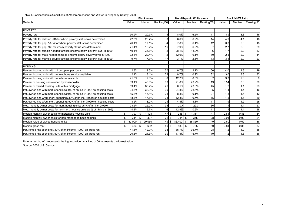| Table 1. Socioeconomic Conditions of African Americans and Whites in Allegheny County, 2000 |  |  |
|---------------------------------------------------------------------------------------------|--|--|
|---------------------------------------------------------------------------------------------|--|--|

|                                                                               | <b>Black alone</b> |             |            |              | Non-Hispanic White alone |            |       | <b>Black/NHW Ratio</b> |                  |
|-------------------------------------------------------------------------------|--------------------|-------------|------------|--------------|--------------------------|------------|-------|------------------------|------------------|
| <b>Variable</b>                                                               | Value              | Median      | Ranking/50 | Value        | Median                   | Ranking/50 | Value | Median                 | Ranking/50       |
|                                                                               |                    |             |            |              |                          |            |       |                        |                  |
| <b>POVERTY</b>                                                                |                    |             |            |              |                          |            |       |                        |                  |
| Poverty rate                                                                  | 30.9%              | 20.9%       |            | 8.0%         | 6.5%                     | 11         | 3.9   | 3.3                    | 15               |
| Poverty rate for children <18 for whom poverty status was determined          | 42.3%              | 28.7%       |            | 8.6%         | 6.2%                     | 14         | 4.9   | 4.1                    | 16               |
| Poverty rate for pop. 18-64 for whom poverty status was determined            | 26.1%              | 17.1%       |            | 7.8%         | 6.4%                     | 12         | 3.3   | 2.8                    | 15               |
| Poverty rate for pop. ≥65 for whom poverty status was determined              | 21.4%              | 18.2%       | 16         | 7.9%         | 6.2%                     |            | 2.7   | 2.8                    | 29               |
| Poverty rate for female-headed families (income below poverty level in 1999)  | 49.1%              | 36.8%       | 2          | 28.1%        | 18.0%                    |            | 1.7   | 2.0                    | 33               |
| Poverty rate for male-headed families (income below poverty level in 1999)    | 32.4%              | 22.4%       | 2          | 12.9%        | 9.1%                     | 10         | 2.5   | 2.2                    | 14               |
| Poverty rate for married-couple families (income below poverty level in 1999) | 9.7%               | 7.7%        | 17         | 3.1%         | 2.5%                     | 13         | 3.1   | 2.9                    | 23               |
|                                                                               |                    |             |            |              |                          |            |       |                        |                  |
| <b>HOUSING</b>                                                                |                    |             |            |              |                          |            |       |                        |                  |
| Percent housing units with >1 occupant per room                               | 2.8%               | 9.6%        | 50         | 0.7%         | 2.1%                     | 50         | 4.0   | 4.3                    | 29               |
| Percent housing units with no telephone service available                     | 2.1%               | 3.1%        | 38         | 0.7%         | 0.9%                     | 32         | 3.0   | 3.3                    | 33               |
| Percent housing units with no vehicle available                               | 41.3%              | 17.8%       | 6          | 12.7%        | 6.8%                     |            | 3.3   | 2.6                    | $\boldsymbol{9}$ |
| Percent of housing units owned by householder                                 | 39.1%              | 43.0%       | 33         | 71.8%        | 70.2%                    | 19         | 0.54  | 0.6                    | 39               |
| Percent of owned housing units with a mortgage                                | 69.4%              | 83.2%       | 46         | 60.1%        | 73.0%                    | 45         | 1.2   | 1.1                    | 23               |
| Pct. owned hhs with mort. spending≥30% of hh inc. (1999) on housing costs     | 34.6%              | 38.3%       | 30         | 24.3%        | 28.6%                    | 35         | 1.4   | 1.4                    | 16               |
| Pct. owned hhs with mort. spending≥50% of hh inc. (1999) on housing costs     | 15.8%              | 15.1%       | 21         | 8.8%         | 9.1%                     | 27         | 1.8   | 1.5                    | 12               |
| Pct. owned hhs w/out mort. spending 230% of hh inc. (1999) on housing costs   | 18.3%              | 17.6%       | 23         | 12.3%        | 9.7%                     | 15         | 1.5   | 1.6                    | 30               |
| Pct. owned hhs w/out mort. spending≥50% of hh inc. (1999) on housing costs    | 8.2%               | 8.0%        | 21         | 4.4%         | 4.1%                     | 17         | 1.9   | 1.9                    | 25               |
| Med. monthly owner costs for mort. housing units as % of hh inc. (1999)       | 23.5%              | 25.0%       | 34         | 20.7         | 22.3                     | 36         | 1.1   | 1.1                    | 27               |
| Med. monthly owner costs for non-mort. housing units as % of hh inc. (1999)   | 14.3%              | 12.7%       | 6          | 12.9%        | 10.6%                    | 11         | 1.1   | 1.1                    | 28               |
| Median monthly owner costs for mortgaged housing units                        | 797<br>\$          | \$<br>1,198 | $47$ \$    | 986          | 1,311<br>-\$             | 47         | 0.81  | 0.85                   | 34               |
| Median monthly owner costs for non-mortgaged housing units                    | \$<br>314          | \$<br>307   | 22         | \$<br>344    | 355<br>-\$               | 28         | 0.91  | 0.90                   | 24               |
| Median value of owned housing units                                           | \$<br>52,000       | \$129,050   | 49         | 86,400<br>\$ | \$156,850                | 49         | 0.60  | 0.69                   | 38               |
| Median gross rent                                                             | 433<br>\$          | \$<br>632   | $50$ \$    | 533          | 735<br>- \$              | 50         | 0.81  | 0.86                   | 37               |
| Pct. rented hhs spending ≥30% of hh income (1999) on gross rent               | 41.3%              | 42.9%       | 33         | 35.7%        | 36.7%                    | 28         | 1.2   | 1.2                    | 35               |
| Pct. rented hhs spending ≥50% of hh income (1999) on gross rent               | 20.5%              | 21.3%       | 30         | 17.5%        | 16.7%                    | 19         | 1.2   | 1.3                    | 36               |

Note: A ranking of 1 represents the highest value; a ranking of 50 represents the lowest value. Source: 2000 U.S. Census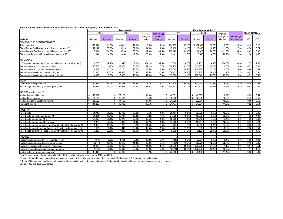#### **Table 2. Socioeconomic Trends for African Americans and Whites in Allegheny County, 1990 to 2000**

|                                                                                                 | <b>Black Alone***</b>  |         |              |         |           | Non-Hispanic White*** |              |         |                        |         |           |              |                        |      |
|-------------------------------------------------------------------------------------------------|------------------------|---------|--------------|---------|-----------|-----------------------|--------------|---------|------------------------|---------|-----------|--------------|------------------------|------|
|                                                                                                 |                        | 1990    |              | 2000    | Percent   | Percentage            |              | 1990    |                        | 2000    | Percent   |              | <b>Black/NHW Ratio</b> |      |
|                                                                                                 |                        |         |              |         | Change in | Point                 |              |         |                        |         | Change in | Percentage   |                        |      |
| Variable                                                                                        | Number                 | Percent | Number       | Percent | Number    | Change                | Number       | Percent | Number                 | Percent | Number    | Point Change | 1990                   | 2000 |
| DEMOGRAPHIC CHARACTERISTICS                                                                     |                        |         |              |         |           |                       |              |         |                        |         |           |              |                        |      |
| Total population                                                                                | 149,641                | 11.2%   | 158.002      | 12.3%   | 5.6%      | 1.1%                  | 1,164,707    | 87.1%   | 1,074,037              | 83.8%   | $-7.8%$   | $-3.3%$      | 0.13                   | 0.15 |
| Single female families with own children under age 18*                                          | 12,142                 | 60.7%   | 13,913       | 62.3%   | 14.6%     | 1.6%                  | 17.432       | 14.1%   | 19,489                 | 16.7%   | 11.8%     | 2.6%         | 4.30                   | 3.74 |
| Married couple families with own children under age 18*                                         | 6,934                  | 34.7%   | 6,736        | 30.2%   | $-2.9%$   | $-4.5%$               | 103,170      | 83.4%   | 91,823                 | 78.5%   | $-11.0%$  | $-4.9%$      | 0.42                   | 0.38 |
| Single male families with own children under age 18*                                            | 914                    | 4.6%    | 1.680        | 7.5%    | 83.8%     | 2.9%                  | 3.141        | 2.5%    | 5.596                  | 4.8%    | 78.2%     | 2.3%         | 1.84                   | 1.57 |
|                                                                                                 |                        |         |              |         |           |                       |              |         |                        |         |           |              |                        |      |
| <b>EDUCATION</b>                                                                                |                        |         |              |         |           |                       |              |         |                        |         |           |              |                        |      |
| H.S. dropout rate age 16-19 (percent neither in h.s. nor a h.s. grad)                           | 1,250                  | 12.4%   | 948          | 9.9%    | $-24.2%$  | $-2.5%$               | 3,306        | 6.0%    | 2,161                  | 4.2%    | $-34.6%$  | $-1.8%$      | 2.07                   | 2.33 |
| Percent males with h.s. degree or higher                                                        | 25,535                 | 68%     | 29,903       | 76.5%   | 17.1%     | 8.7%                  | 306,260      | 81.6%   | 313.263                | 88.1%   | 2.3%      | 6.5%         | 0.83                   | 0.87 |
| Percent males with bachelor degree or higher                                                    | 4,369                  | 11.6%   | 5,265        | 13.5%   | 20.5%     | 1.9%                  | 107,649      | 28.7%   | 118.234                | 33.3%   | 9.8%      | 4.6%         | 0.40                   | 0.41 |
| Percent females with h.s degree or higher                                                       | 35,678                 | 70.0%   | 42,623       | 80.4%   | 19.5%     | 10.3%                 | 354,183      | 78.7%   | 360,232                | 86.4%   | 1.7%      | 7.7%         | 0.89                   | 0.93 |
| Percent females with bachelor degree or higher                                                  | 4.972                  | 9.8%    | 7.080        | 13.3%   | 42.4%     | 3.6%                  | 85.886       | 19.1%   | 107,940                | 25.9%   | 25.7%     | 6.8%         | 0.51                   | 0.52 |
| <b>WORK</b>                                                                                     |                        |         |              |         |           |                       |              |         |                        |         |           |              |                        |      |
| Labor force participation 16+                                                                   | 59.244                 | 54.0%   | 64.383       | 57.4%   | 8.7%      | 3.4%                  | 577,506      | 60.3%   | 543.219                | 61.5%   | $-5.9%$   | 1.2%         | 0.90                   | 0.93 |
| Workers age 16+ working full-time (prior year)                                                  | 28.991                 | 47.0%   | 36.963       | 52.9%   | 27.5%     | 5.9%                  | 354.983      | 57.0%   | 353.900                | 60.7%   | $-0.3%$   | 3.7%         | 0.82                   | 0.87 |
|                                                                                                 |                        |         |              |         |           |                       |              |         |                        |         |           |              |                        |      |
| INCOME (previous year)**                                                                        |                        |         |              |         |           |                       |              |         |                        |         |           |              |                        |      |
| Median household income                                                                         | 19,837<br>\$.          |         | \$<br>22,130 |         | 11.6%     |                       | S.<br>40,051 |         | \$<br>40,880           |         | 2.1%      |              | 0.50                   | 0.54 |
| Median family income                                                                            | 24,138<br>$\mathbf{s}$ |         | 26,417<br>\$ |         | 9.4%      |                       | 49,698<br>\$ |         | 52,630<br>$\mathbf{s}$ |         | 5.9%      |              | 0.49                   | 0.50 |
| Median nonfamily household income                                                               | 12,526<br>\$.          |         | 14,766<br>\$ |         | 17.9%     |                       | 21.098<br>\$ |         | 23,391<br>\$.          |         | 10.9%     |              | 0.59                   | 0.63 |
| Per capita income                                                                               | 11,239<br>\$.          |         | \$<br>13,093 |         | 16.5%     |                       | \$<br>21,477 |         | \$<br>24,034           |         | 11.9%     |              | 0.52                   | 0.54 |
|                                                                                                 |                        |         |              |         |           |                       |              |         |                        |         |           |              |                        |      |
| <b>POVERTY</b>                                                                                  |                        |         |              |         |           |                       |              |         |                        |         |           |              |                        |      |
| Poverty rate                                                                                    | 51.712                 | 35.8%   | 46.793       | 30.9%   | $-9.5%$   | $-4.9%$               | 96.401       | 8.5%    | 83.882                 | 8.0%    | $-13.0%$  | $-0.5%$      | 4.24                   | 3.86 |
| Poverty rate for children under age 18                                                          | 21,621                 | 49.7%   | 20,917       | 42.3%   | $-3.3%$   | $-7.4%$               | 24,030       | 10.5%   | 18,386                 | 8.6%    | $-23.5%$  | $-1.9%$      | 4.75                   | 4.92 |
| Poverty rate for pop. age 18-64                                                                 | 25,469                 | 30.4%   | 22,273       | 26.1%   | $-12.5%$  | $-4.3%$               | 53,960       | 7.6%    | 49,942                 | 7.8%    | $-7.4%$   | 0.2%         | 4.00                   | 3.35 |
| Poverty rate for pop. age 65 and over                                                           | 4,379                  | 26.2%   | 3,603        | 21.4%   | $-17.7%$  | $-4.8%$               | 17.668       | 8.8%    | 15.554                 | 7.9%    | $-12.0%$  | $-0.9%$      | 2.97                   | 2.71 |
| Poverty rate for married-couple families with related children under 18                         | 1,062                  | 13.2%   | 728          | 9.7%    | $-31.5%$  | $-3.5%$               | 4,757        | 4.4%    | 2,958                  | 3.1%    | $-37.8%$  | $-1.3%$      | 3.00                   | 3.13 |
| Poverty rate for male-headed families with related children under 18                            | 454                    | 36.4%   | 647          | 32.4%   | 42.5%     | $-4.0%$               | 724          | 17.8%   | 795                    | 12.9%   | 9.8%      | $-4.9%$      | 2.05                   | 2.51 |
| Poverty rate for female-headed families with related children under 18                          | 8,880                  | 63.0%   | 7,898        | 49.1%   | $-11.1%$  | $-13.9%$              | 8,509        | 37.6%   | 6,123                  | 28.1%   | $-28.0%$  | $-9.5%$      | 1.67                   | 1.75 |
|                                                                                                 |                        |         |              |         |           |                       |              |         |                        |         |           |              |                        |      |
| <b>HOUSING</b><br>Percent housing units with >1 occupant per room                               | 1985                   | 3.5%    | 1,721        | 2.8%    | $-13.3%$  | $-0.7%$               | 3338         | 0.7%    | 3,324                  | 0.7%    | $-0.4%$   | 0.0%         | 5.00                   | 4.00 |
| Percent housing units with no vehicle available                                                 | 28116                  | 49.7%   | 25,312       | 41.3%   | $-10.0%$  | $-8.4%$               | 75364        | 15.8%   | 58,220                 | 12.7%   | $-22.7%$  | $-3.1%$      | 3.15                   | 3.25 |
|                                                                                                 | 21,463                 | 38.0%   | 23,950       | 39.1%   | 11.6%     | 1.1%                  | 333,399      | 69.8%   | 329.692                | 71.8%   | $-1.1%$   | 2.0%         | 0.54                   | 0.54 |
| Percent of housing units owned by householder<br>Percent of owned housing units with a mortgage | 11784                  | 60.1%   | 15,348       | 69.4%   | 30.2%     | 9.3%                  | 158761       | 52.8%   | 182.526                | 60.1%   | 15.0%     | 7.3%         | 1.14                   | 1.15 |
| Medain value of owned housing units**                                                           |                        |         | 52,900       |         | 8.2%      |                       | 77,586       |         |                        |         |           |              | 0.63                   | 0.61 |
|                                                                                                 | \$<br>48,910           |         | \$           |         |           |                       | \$           |         | \$<br>86,400           |         | 11.4%     |              |                        |      |

\*Non-Hispanic white data are not available for 1990, so white only data were used for 1990 and 2000.

\*\*Income data and median value of owned occupied housing units is adjusted for inflation (34%) to match 1999 dollars, U.S. Bureau of Labor Statistics

\*\*\*In the 2000 census respondents could select single or multiple racial categories, whereas in 1990 respondents with multiple racial identities could select only one race.

Source: 1990 and 2000 U.S. Census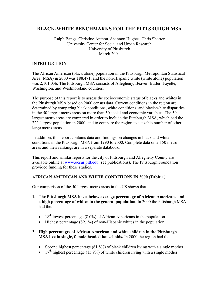### **BLACK-WHITE BENCHMARKS FOR THE PITTSBURGH MSA**

#### Ralph Bangs, Christine Anthou, Shannon Hughes, Chris Shorter University Center for Social and Urban Research University of Pittsburgh March 2004

#### **INTRODUCTION**

The African American (black alone) population in the Pittsburgh Metropolitan Statistical Area (MSA) in 2000 was 188,471, and the non-Hispanic white (white alone) population was 2,101,036. The Pittsburgh MSA consists of Allegheny, Beaver, Butler, Fayette, Washington, and Westmoreland counties.

The purpose of this report is to assess the socioeconomic status of blacks and whites in the Pittsburgh MSA based on 2000 census data. Current conditions in the region are determined by comparing black conditions, white conditions, and black-white disparities in the 50 largest metro areas on more than 50 social and economic variables. The 50 largest metro areas are compared in order to include the Pittsburgh MSA, which had the  $22^{\text{nd}}$  largest population in 2000, and to compare the region to a sizable number of other large metro areas.

In addition, this report contains data and findings on changes in black and white conditions in the Pittsburgh MSA from 1990 to 2000. Complete data on all 50 metro areas and their rankings are in a separate databook.

This report and similar reports for the city of Pittsburgh and Allegheny County are available online at www.ucsur.pitt.edu (see publications). The Pittsburgh Foundation provided funding for these studies.

#### **AFRICAN AMERICAN AND WHITE CONDITIONS IN 2000 (Table 1)**

Our comparison of the 50 largest metro areas in the US shows that:

- **1. The Pittsburgh MSA has a below average percentage of African Americans and a high percentage of whites in the general population.** In 2000 the Pittsburgh MSA had the:
	- 18<sup>th</sup> lowest percentage (8.0%) of African Americans in the population
	- Highest percentage (89.1%) of non-Hispanic whites in the population
- **2. High percentages of African American and white children in the Pittsburgh MSA live in single, female-headed households.** In 2000 the region had the:
	- Second highest percentage (61.8%) of black children living with a single mother
	- 17<sup>th</sup> highest percentage (15.9%) of white children living with a single mother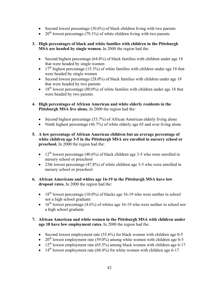- Second lowest percentage (30.6%) of black children living with two parents
- 20<sup>th</sup> lowest percentage (79.1%) of white children living with two parents
- **3. High percentages of black and white families with children in the Pittsburgh MSA are headed by single women.** In 2000 the region had the:
	- Second highest percentage (64.8%) of black families with children under age 18 that were headed by single women
	- 17<sup>th</sup> highest percentage (15.3%) of white families with children under age 18 that were headed by single women
	- Second lowest percentage (28.0%) of black families with children under age 18 that were headed by two parents
	- 18<sup>th</sup> lowest percentage (80.0%) of white families with children under age 18 that were headed by two parents
- **4. High percentages of African American and white elderly residents in the Pittsburgh MSA live alone.** In 2000 the region had the:
	- Second highest percentage (53.7%) of African American elderly living alone
	- Ninth highest percentage (46.7%) of white elderly age 65 and over living alone
- **5. A low percentage of African American children but an average percentage of white children age 3-5 in the Pittsburgh MSA are enrolled in nursery school or preschool.** In 2000 the region had the:
	- 12<sup>th</sup> lowest percentage (40.6%) of black children age 3-5 who were enrolled in nursery school or preschool
	- 25th lowest percentage (47.8%) of white children age 3-5 who were enrolled in nursery school or preschool
- **6. African Americans and whites age 16-19 in the Pittsburgh MSA have low dropout rates.** In 2000 the region had the:
	- 18<sup>th</sup> lowest percentage (10.0%) of blacks age 16-19 who were neither in school nor a high school graduate
	- 16<sup>th</sup> lowest percentage (4.6%) of whites age 16-19 who were neither in school nor a high school graduate

#### **7. African American and white women in the Pittsburgh MSA with children under age 18 have low employment rates.** In 2000 the region had the:

- Second lowest employment rate (55.6%) for black women with children age 0-5
- 20<sup>th</sup> lowest employment rate (59.0%) among white women with children age 0-5
- 12<sup>th</sup> lowest employment rate  $(65.5\%)$  among black women with children age 6-17
- 14<sup>th</sup> lowest employment rate  $(68.4\%)$  for white women with children age 6-17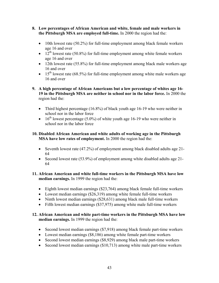- **8. Low percentages of African American and white, female and male workers in the Pittsburgh MSA are employed full-time.** In 2000 the region had the:
	- 10th lowest rate (50.2%) for full-time employment among black female workers age 16 and over
	- $12<sup>th</sup>$  lowest rate (50.8%) for full-time employment among white female workers age 16 and over
	- 12th lowest rate (55.8%) for full-time employment among black male workers age 16 and over
	- $\bullet$  15<sup>th</sup> lowest rate (68.5%) for full-time employment among white male workers age 16 and over
- **9. A high percentage of African Americans but a low percentage of whites age 16- 19 in the Pittsburgh MSA are neither in school nor in the labor force.** In 2000 the region had the:
	- Third highest percentage (16.8%) of black youth age 16-19 who were neither in school nor in the labor force
	- 16<sup>th</sup> lowest percentage (5.0%) of white youth age 16-19 who were neither in school nor in the labor force

#### **10. Disabled African American and white adults of working age in the Pittsburgh MSA have low rates of employment.** In 2000 the region had the:

- Seventh lowest rate (47.2%) of employment among black disabled adults age 21-64
- Second lowest rate (53.9%) of employment among white disabled adults age 21-64

#### **11. African American and white full-time workers in the Pittsburgh MSA have low median earnings.** In 1999 the region had the:

- Eighth lowest median earnings (\$23,764) among black female full-time workers
- Lowest median earnings (\$26,319) among white female full-time workers
- Ninth lowest median earnings (\$28,631) among black male full-time workers
- Fifth lowest median earnings (\$37,975) among white male full-time workers

#### **12. African American and white part-time workers in the Pittsburgh MSA have low median earnings.** In 1999 the region had the:

- Second lowest median earnings (\$7,918) among black female part-time workers
- Lowest median earnings (\$8,186) among white female part-time workers
- Second lowest median earnings (\$8,929) among black male part-time workers
- Second lowest median earnings (\$10,713) among white male part-time workers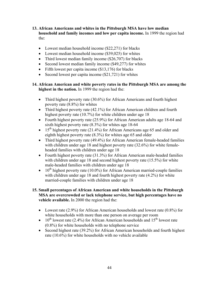- **13. African Americans and whites in the Pittsburgh MSA have low median household and family incomes and low per capita income.** In 1999 the region had the:
	- Lowest median household income (\$22,271) for blacks
	- Lowest median household income (\$39,025) for whites
	- Third lowest median family income (\$26,707) for blacks
	- Second lowest median family income (\$49,277) for whites
	- Fifth lowest per capita income (\$13,176) for blacks
	- Second lowest per capita income (\$21,721) for whites

#### **14. African American and white poverty rates in the Pittsburgh MSA are among the highest in the nation.** In 1999 the region had the:

- Third highest poverty rate (30.6%) for African Americans and fourth highest poverty rate (8.8%) for whites
- Third highest poverty rate (42.1%) for African American children and fourth highest poverty rate (10.7%) for white children under age 18
- Fourth highest poverty rate (25.9%) for African American adults age 18-64 and sixth highest poverty rate (8.3%) for whites age 18-64
- 15<sup>th</sup> highest poverty rate (21.4%) for African Americans age 65 and older and eighth highest poverty rate (8.3%) for whites age 65 and older
- Third highest poverty rate (49.4%) for African American female-headed families with children under age 18 and highest poverty rate (32.6%) for white femaleheaded families with children under age 18
- Fourth highest poverty rate (31.3%) for African American male-headed families with children under age 18 and second highest poverty rate (15.5%) for white male-headed families with children under age 18
- $10^{th}$  highest poverty rate (10.0%) for African American married-couple families with children under age 18 and fourth highest poverty rate  $(4.2\%)$  for white married-couple families with children under age 18

#### **15. Small percentages of African American and white households in the Pittsburgh MSA are overcrowded or lack telephone service, but high percentages have no vehicle available.** In 2000 the region had the:

- Lowest rate (2.9%) for African American households and lowest rate (0.8%) for white households with more than one person on average per room
- $10^{th}$  lowest rate (2.4%) for African American households and  $15^{th}$  lowest rate (0.8%) for white households with no telephone service
- Second highest rate (39.2%) for African American households and fourth highest rate (10.6%) for white households with no vehicle available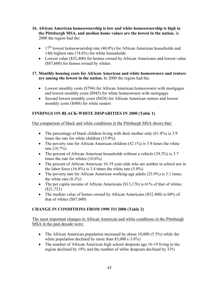- **16. African American homeownership is low and white homeownership is high in the Pittsburgh MSA, and median home values are the lowest in the nation.** In 2000 the region had the:
	- 17<sup>th</sup> lowest homeownership rate (40.0%) for African American households and 14th highest rate (74.6%) for white households
	- Lowest value (\$52,400) for homes owned by African Americans and lowest value (\$87,600) for homes owned by whites

#### **17. Monthly housing costs for African American and white homeowners and renters are among the lowest in the nation.** In 2000 the region had the:

- Lowest monthly costs (\$794) for African American homeowners with mortgages and lowest monthly costs (\$945) for white homeowners with mortgages
- Second lowest monthly costs (\$428) for African American renters and lowest monthly costs (\$488) for white renters

#### **FINDINGS ON BLACK-WHITE DISPARITIES IN 2000 (Table 1)**

Our comparison of black and white conditions in the Pittsburgh MSA shows that:

- The percentage of black children living with their mother only (61.8%) is 3.9 times the rate for white children (15.9%)
- The poverty rate for African American children  $(42.1\%)$  is 3.9 times the white rate (10.7%)
- The percent of African American households without a vehicle (39.2%) is 3.7 times the rate for whites (10.6%)
- The percent of African American 16-19 year-olds who are neither in school nor in the labor force  $(16.8\%)$  is 3.4 times the white rate  $(5.0\%)$
- The poverty rate for African American working-age adults (25.9%) is 3.1 times the white rate (8.3%)
- The per capita income of African Americans (\$13,176) is 61% of that of whites (\$21,721)
- The median value of homes owned by African Americans (\$52,400) is 60% of that of whites (\$87,600)

#### **CHANGE IN CONDITIONS FROM 1990 TO 2000 (Table 2)**

The most important changes in African American and white conditions in the Pittsburgh MSA in the past decade were:

- The African American population increased by about 10,000 (5.5%) while the white population declined by more than 83,000 (-3.8%)
- The number of African American high school dropouts age 16-19 living in the region declined by 18% and the number of white dropouts declined by 33%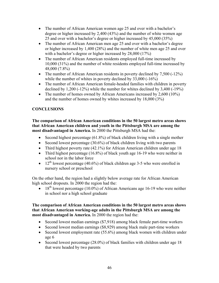- The number of African American women age 25 and over with a bachelor's degree or higher increased by 2,400 (43%) and the number of white women age 25 and over with a bachelor's degree or higher increased by 45,000 (35%)
- The number of African American men age 25 and over with a bachelor's degree or higher increased by 1,400 (28%) and the number of white men age 25 and over with a bachelor's degree or higher increased by 28,000 (17%)
- The number of African American residents employed full-time increased by 10,000 (31%) and the number of white residents employed full-time increased by 48,000 (7.8%)
- The number of African American residents in poverty declined by 7,500 (-12%) while the number of whites in poverty declined by 33,000 (-16%)
- The number of African American female-headed families with children in poverty declined by 1,200 (-12%) while the number for whites declined by 3,400 (-19%)
- The number of homes owned by African Americans increased by 2,600 (10%) and the number of homes owned by whites increased by 18,000 (3%)

### **CONCLUSIONS**

**The comparison of African American conditions in the 50 largest metro areas shows that African American children and youth in the Pittsburgh MSA are among the most disadvantaged in America.** In 2000 the Pittsburgh MSA had the:

- Second highest percentage (61.8%) of black children living with a single mother
- Second lowest percentage (30.6%) of black children living with two parents
- Third highest poverty rate (42.1%) for African American children under age 18
- Third highest percentage (16.8%) of black youth age 16-19 who were neither in school nor in the labor force
- 12<sup>th</sup> lowest percentage (40.6%) of black children age 3-5 who were enrolled in nursery school or preschool

On the other hand, the region had a slightly below average rate for African American high school dropouts. In 2000 the region had the:

• 18<sup>th</sup> lowest percentage (10.0%) of African Americans age 16-19 who were neither in school nor a high school graduate

#### **The comparison of African American conditions in the 50 largest metro areas shows that African American working-age adults in the Pittsburgh MSA are among the most disadvantaged in America.** In 2000 the region had the:

- Second lowest median earnings (\$7,918) among black female part-time workers
- Second lowest median earnings (\$8,929) among black male part-time workers
- Second lowest employment rate (55.6%) among black women with children under age 6
- Second lowest percentage (28.0%) of black families with children under age 18 that were headed by two parents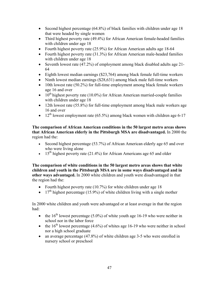- Second highest percentage (64.8%) of black families with children under age 18 that were headed by single women
- Third highest poverty rate (49.4%) for African American female-headed families with children under age 18
- Fourth highest poverty rate (25.9%) for African American adults age 18-64
- Fourth highest poverty rate (31.3%) for African American male-headed families with children under age 18
- Seventh lowest rate (47.2%) of employment among black disabled adults age 21- 64
- Eighth lowest median earnings (\$23,764) among black female full-time workers
- Ninth lowest median earnings (\$28,631) among black male full-time workers
- 10th lowest rate (50.2%) for full-time employment among black female workers age 16 and over
- $10^{th}$  highest poverty rate (10.0%) for African American married-couple families with children under age 18
- 12th lowest rate (55.8%) for full-time employment among black male workers age 16 and over
- 12<sup>th</sup> lowest employment rate (65.5%) among black women with children age 6-17

**The comparison of African American conditions in the 50 largest metro areas shows that African American elderly in the Pittsburgh MSA are disadvantaged.** In 2000 the region had the:

- Second highest percentage (53.7%) of African American elderly age 65 and over who were living alone
- 15<sup>th</sup> highest poverty rate (21.4%) for African Americans age 65 and older

**The comparison of white conditions in the 50 largest metro areas shows that white children and youth in the Pittsburgh MSA are in some ways disadvantaged and in other ways advantaged.** In 2000 white children and youth were disadvantaged in that the region had the:

- Fourth highest poverty rate (10.7%) for white children under age 18
- 17<sup>th</sup> highest percentage (15.9%) of white children living with a single mother

In 2000 white children and youth were advantaged or at least average in that the region had:

- the  $16<sup>th</sup>$  lowest percentage (5.0%) of white youth age 16-19 who were neither in school nor in the labor force
- the  $16<sup>th</sup>$  lowest percentage (4.6%) of whites age 16-19 who were neither in school nor a high school graduate
- an average percentage (47.8%) of white children age 3-5 who were enrolled in nursery school or preschool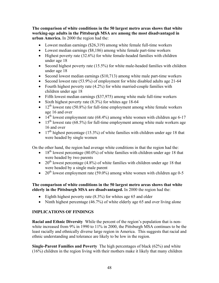**The comparison of white conditions in the 50 largest metro areas shows that white working-age adults in the Pittsburgh MSA are among the most disadvantaged in urban America.** In 2000 the region had the:

- Lowest median earnings (\$26,319) among white female full-time workers
- Lowest median earnings (\$8,186) among white female part-time workers
- Highest poverty rate (32.6%) for white female-headed families with children under age 18
- Second highest poverty rate (15.5%) for white male-headed families with children under age 18
- Second lowest median earnings (\$10,713) among white male part-time workers
- Second lowest rate (53.9%) of employment for white disabled adults age 21-64
- Fourth highest poverty rate (4.2%) for white married-couple families with children under age 18
- Fifth lowest median earnings (\$37,975) among white male full-time workers
- Sixth highest poverty rate (8.3%) for whites age 18-64
- $12<sup>th</sup>$  lowest rate (50.8%) for full-time employment among white female workers age 16 and over
- 14<sup>th</sup> lowest employment rate (68.4%) among white women with children age 6-17
- 15<sup>th</sup> lowest rate (68.5%) for full-time employment among white male workers age 16 and over
- 17<sup>th</sup> highest percentage (15.3%) of white families with children under age 18 that were headed by single women

On the other hand, the region had average white conditions in that the region had the:

- 18<sup>th</sup> lowest percentage (80.0%) of white families with children under age 18 that were headed by two parents
- 20<sup>th</sup> lowest percentage (4.8%) of white families with children under age 18 that were headed by a single male parent
- 20<sup>th</sup> lowest employment rate (59.0%) among white women with children age 0-5

#### **The comparison of white conditions in the 50 largest metro areas shows that white elderly in the Pittsburgh MSA are disadvantaged.** In 2000 the region had the:

- Eighth highest poverty rate  $(8.3\%)$  for whites age 65 and older
- Ninth highest percentage (46.7%) of white elderly age 65 and over living alone

#### **IMPLICATIONS OF FINDINGS**

**Racial and Ethnic Diversity** While the percent of the region's population that is nonwhite increased from 9% in 1990 to 11% in 2000, the Pittsburgh MSA continues to be the least racially and ethnically diverse large region in America. This suggests that racial and ethnic understanding and tolerance are likely to be low in the region.

**Single-Parent Families and Poverty** The high percentages of black (62%) and white (16%) children in the region living with their mothers make it likely that many children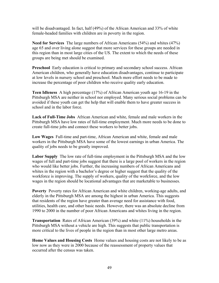will be disadvantaged. In fact, half (49%) of the African American and 33% of white female-headed families with children are in poverty in the region.

**Need for Services** The large numbers of African Americans (54%) and whites (47%) age 65 and over living alone suggest that more services for these groups are needed in this region than in most large cities of the US. The extent to which the needs of these groups are being met should be examined.

**Preschool** Early education is critical to primary and secondary school success. African American children, who generally have education disadvantages, continue to participate at low levels in nursery school and preschool. Much more effort needs to be made to increase the percentage of poor children who receive quality early education.

**Teen Idleness** A high percentage (17%) of African American youth age 16-19 in the Pittsburgh MSA are neither in school nor employed. Many serious social problems can be avoided if these youth can get the help that will enable them to have greater success in school and in the labor force.

**Lack of Full-Time Jobs** African American and white, female and male workers in the Pittsburgh MSA have low rates of full-time employment. Much more needs to be done to create full-time jobs and connect these workers to better jobs.

**Low Wages** Full-time and part-time, African American and white, female and male workers in the Pittsburgh MSA have some of the lowest earnings in urban America. The quality of jobs needs to be greatly improved.

**Labor Supply** The low rate of full-time employment in the Pittsburgh MSA and the low wages of full and part-time jobs suggest that there is a large pool of workers in the region who would like better jobs. Further, the increasing numbers of African Americans and whites in the region with a bachelor's degree or higher suggest that the quality of the workforce is improving. The supply of workers, quality of the workforce, and the low wages in the region should be locational advantages that are marketable to businesses.

**Poverty** Poverty rates for African American and white children, working-age adults, and elderly in the Pittsburgh MSA are among the highest in urban America. This suggests that residents of the region have greater than average need for assistance with food, utilities, health care, and other basic needs. However, there was an absolute decline from 1990 to 2000 in the number of poor African Americans and whites living in the region.

**Transportation** Rates of African American (39%) and white (11%) households in the Pittsburgh MSA without a vehicle are high. This suggests that public transportation is more critical to the lives of people in the region than in most other large metro areas.

**Home Values and Housing Costs** Home values and housing costs are not likely to be as low now as they were in 2000 because of the reassessment of property values that occurred after the census was taken.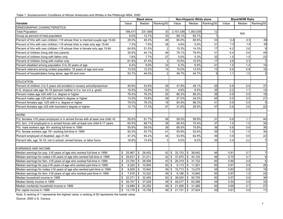Table 1. Socioeconomic Conditions of African Americans and Whites in the Pittsburgh MSA, 2000

|                                                                               | <b>Black alone</b> |                      |                             |           | Non-Hispanic White alone     |                 |       | <b>Black/NHW Ratio</b> |                  |
|-------------------------------------------------------------------------------|--------------------|----------------------|-----------------------------|-----------|------------------------------|-----------------|-------|------------------------|------------------|
| <b>Variable</b>                                                               | Value              | Median               | Ranking/50                  | Value     | Median                       | Ranking/50      | Value | Median                 | Ranking/50       |
| DEMOGRAPHIC CHARACTERISTICS                                                   |                    |                      |                             |           |                              |                 |       |                        |                  |
| <b>Total Population</b>                                                       | 188,471            | 231,569              | 33                          | 2,101,036 | 1,383,538                    | 12              |       | N/A                    |                  |
| Group as percent of total population                                          | 8.0%               | 12.7%                | 33                          | 89.1%     | 65.7%                        | $\overline{1}$  |       |                        |                  |
| Percent of hhs with own children <18 whose hher is married-couple age 15-64   | 28.0%              | 40.4%                | 49                          | 80.0%     | 80.6%                        | 33              | 0.4   | 0.5                    | 49               |
| Percent of hhs with own children <18 whose hher is male only age 15-64        | 7.2%               | 7.9%                 | 38                          | 4.8%      | 5.0%                         | 31              | 1.5   | 1.6                    | 30               |
| Percent of hhs with own children <18 whose hher is female only age 15-64      | 64.8%              | 51.5%                | $\boldsymbol{2}$            | 15.3%     | 14.3%                        | 17              | 4.2   | 3.6                    | $\boldsymbol{9}$ |
| Percent of children living with two parents                                   | 30.6%              | 44.1%                | 49                          | 79.1%     | 79.4%                        | 31              | 0.4   | 0.6                    | 49               |
| Percent of children living with father only                                   | 7.6%               | 7.7%                 | 27                          | 5.0%      | 5.3%                         | $\overline{32}$ | 1.5   | 1.5                    | 23               |
| Percent of children living with mother only                                   | 61.8%              | 47.4%                | $\overline{c}$              | 15.9%     | 15.0%                        | $\overline{17}$ | 3.9   | $\overline{3.3}$       | $\overline{7}$   |
| Percent disabled among population 5 to 20 years of age                        | 9.4%               | 9.9%                 | 33                          | 6.3%      | 6.9%                         | 41              | 1.5   | 1.4                    | 19               |
| Percent veterans among civilian population 18 years of age and over           | 13.5%              | 12.2%                | 14                          | 15.0%     | 13.5%                        | 12              | 0.9   | 0.8                    | 16               |
| Percent of householders living alone, age 65 and over                         | 53.7%              | 44.0%                | $\overline{c}$              | 46.7%     | 44.7%                        | 9               | 1.1   | 1.0                    | $\mathsf 3$      |
| <b>EDUCATION</b>                                                              |                    |                      |                             |           |                              |                 |       |                        |                  |
| Percent of children 3 to 5 years old enrolled in nursery school/preschool     | 40.6%              | 43.6%                | 39                          | 47.8%     | 48.1%                        | 26              | 0.8   | 0.9                    | 37               |
| H.S. dropout rate age 16-19 (percent neither in h.s. nor a h.s. grad)         | 10.0%              | 10.8%                | 33                          | 4.6%      | 6.5%                         | 35              | 2.2   | 1.7                    | $\overline{12}$  |
| Percent males age ≥25 with h.s. degree or higher                              | 76.4%              | 76.2%                | $\overline{25}$             | 86.3%     | 89.2%                        | 38              | 0.9   | 0.9                    | $\overline{18}$  |
| Percent males age ≥25 with bachelor's degree or higher                        | 13.0%              | 15.8%                | 39                          | 27.0%     | 34.2%                        | 45              | 0.5   | 0.5                    | 21               |
| Percent females age ≥25 with h.s. degree or higher                            | 79.5%              | 78.3%                | $\overline{18}$             | 84.9%     | 88.3%                        | 41              | 0.9   | 0.9                    | $\overline{5}$   |
| Percent females age ≥25 with bachelor's degree or higher                      | 12.7%              | 17.3%                | 47                          | 21.6%     | 28.5%                        | $\overline{47}$ | 0.6   | 0.6                    | 22               |
|                                                                               |                    |                      |                             |           |                              |                 |       |                        |                  |
| <b>WORK</b>                                                                   |                    |                      |                             |           |                              |                 |       |                        |                  |
| Pct. females ≥16 years employed or in armed forces with at least one child <6 | 55.6%              | 61.7%                | 49                          | 59.0%     | 59.9%                        | 31              | 0.9   | 1.1                    | 44               |
| Pct. fem. ≥16 employed or in armed forces with at least one child 6-17 years  | 65.5%              | 68.7%                | 39                          | 68.4%     | 70.4%                        | 37              | 1.0   | 1.0                    | 34               |
| Pct. male workers age 16+ working full-time in 1999                           | 55.8%              | 59.0%                | 39                          | 68.5%     | 70.8%                        | 36              | 0.8   | 0.8                    | 36               |
| Pct. female workers age 16+ working full-time in 1999                         | 50.2%              | 53.7%                | 41                          | 50.8%     | 52.6%                        | 39              | 1.0   | 1.0                    | $30\,$           |
| Percent employed of disabled, age 21-64                                       | 47.2%              | 54.2%                | 44                          | 53.9%     | 62.9%                        | 49              | 0.9   | $\overline{0.9}$       | 22               |
| Percent idle, age 16-19, not in school, armed forces, or labor force          | 16.8%              | 13.4%                | 3                           | 5.0%      | 6.2%                         | 35              | 3.4   | 2.2                    | $\overline{7}$   |
| <b>EARNINGS AND INCOME</b>                                                    |                    |                      |                             |           |                              |                 |       |                        |                  |
| Median earnings for pop. ≥16 years of age who worked full-time in 1999        | $25,967$ \$<br>\$  | 28,452               | $42$ \ $\frac{1}{3}$        |           | $32,153$ \$ 38,642           | 46              | 0.81  | 0.7                    | $\overline{7}$   |
| Median earnings for males ≥16 years of age who worked full-time in 1999       | \$<br>28,631       | $\sqrt{3}$<br>31,011 | $42 \overline{\phantom{a}}$ |           | 37,975 \$44,120              | 46              | 0.75  | 0.7                    | 9                |
| Median earnings for fem. ≥16 years of age who worked full-time in 1999        | \$<br>$23,764$ \$  | 26,506               | $43 \,$ \$                  |           | 26,319 \$ 31,722             | 50              | 0.90  | 0.9                    | $\mathbf 5$      |
| Median earnings for pop.≥16 years of age who worked part-time in 1999         | \$<br>8,325        | \$<br>10,594         | $50$ \$                     |           | $\overline{9,113}$ \$ 11,501 | 50              | 0.91  | 0.9                    | 26               |
| Median earnings for males ≥16 years of age who worked part-time in 1999       | \$<br>$8,929$ \$   | 10,942               | 49S                         |           | 10,713 \$ 13,475             | 49              | 0.83  | 0.8                    | 19               |
| Median earnings for fem. ≥16 years of age who worked part-time in 1999        | \$<br>7,918 \$     | 10,322               | 49 \$                       |           | 8,186 \$ 10,840              | 50              | 0.97  | 1.0                    | $\overline{24}$  |
| Median household income in 1999                                               | \$<br>$22,271$ \$  | 32,455               | $50$ \$                     |           | 39,025 \$ 50,755             | 50              | 0.57  | 0.6                    | 36               |
| Median family income in 1999                                                  | \$<br>26,707       | 37,029<br>\$         | 48 \$                       | 49,277    | \$63,266                     | 49              | 0.54  | 0.6                    | 33               |
| Median nonfamily household income in 1999                                     | \$<br>14,689 \$    | 22,252               | 49 \$                       |           | 21,269 \$ 31,266             | 50              | 0.69  | 0.7                    | 27               |
| Per capita income in 1999                                                     | \$                 | 13,176 \$ 15,758     | $46 \overline{\text{S}}$    |           | 21,721 \$ 27,624             | 49              | 0.61  | 0.6                    | 11               |

Note: A ranking of 1 represents the highest value; a ranking of 50 represents the lowest value.

Source: 2000 U.S. Census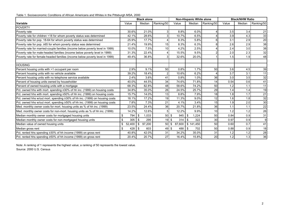Table 1. Socioeconomic Conditions of African Americans and Whites in the Pittsburgh MSA, 2000

|                                                                               |              | <b>Black alone</b> |                |              | Non-Hispanic White alone |            |       | <b>Black/NHW Ratio</b> |                  |
|-------------------------------------------------------------------------------|--------------|--------------------|----------------|--------------|--------------------------|------------|-------|------------------------|------------------|
| Variable                                                                      | Value        | Median             | Ranking/50     | Value        | Median                   | Ranking/50 | Value | Median                 | Ranking/50       |
| <b>POVERTY</b>                                                                |              |                    |                |              |                          |            |       |                        |                  |
| Poverty rate                                                                  | 30.6%        | 21.0%              |                | 8.8%         | 6.0%                     |            | 3.5   | 3.4                    | 21               |
| Poverty rate for children <18 for whom poverty status was determined          | 42.1%        | 28.6%              |                | 10.7%        | 6.5%                     |            | 3.9   | 4.3                    | 33               |
| Poverty rate for pop. 18-64 for whom poverty status was determined            | 25.9%        | 17.7%              |                | 8.3%         | 5.8%                     | 6          | 3.1   | 2.9                    | 20               |
| Poverty rate for pop. ≥65 for whom poverty status was determined              | 21.4%        | 19.9%              | 15             | 8.3%         | 6.3%                     | 8          | 2.6   | 2.9                    | 38               |
| Poverty rate for married-couple families (income below poverty level in 1999) | 10.0%        | 7.5%               | 10             | 4.2%         | 2.5%                     |            | 2.4   | 3.0                    | 38               |
| Poverty rate for male-headed families (income below poverty level in 1999)    | 31.3%        | 22.4%              |                | 15.5%        | 9.5%                     |            | 2.0   | 2.3                    | 32               |
| Poverty rate for female-headed families (income below poverty level in 1999)  | 49.4%        | 36.8%              |                | 32.6%        | 20.0%                    |            | 1.5   | 1.9                    | 48               |
| <b>HOUSING</b>                                                                |              |                    |                |              |                          |            |       |                        |                  |
| Percent housing units with >1 occupant per room                               | 2.9%         | 9.1%               | 50             | 0.8%         | 1.7%                     | 50         | 3.6   | 4.5                    | 39               |
| Percent housing units with no vehicle available                               | 39.2%        | 18.4%              | $\overline{2}$ | 10.6%        | 6.2%                     | Δ          | 3.7   | 3.1                    | 11               |
| Percent housing units with no telephone service available                     | 2.4%         | 3.6%               | 41             | 0.8%         | 1.0%                     | 36         | 3.0   | 3.5                    | 32               |
| Percent of housing units owned by householder                                 | 40.0%        | 44.5%              | 34             | 74.6%        | 71.8%                    | 14         | 0.54  | 0.6                    | 41               |
| Percent of owned housing units with a mortgage                                | 68.3%        | 82.8%              | 48             | 58.6%        | 74.2%                    | 50         | 1.2   | 1.1                    | 11               |
| Pct. owned hhs with mort. spending ≥30% of hh inc. (1999) on housing costs    | 34.8%        | 35.0%              | 26             | 24.5%        | 25.7%                    | 29         | 1.4   | 1.4                    | 19               |
| Pct. owned hhs with mort. spending ≥50% of hh inc. (1999) on housing costs    | 15.7%        | 14.0%              | 13             | 8.8%         | 7.9%                     | 18         | 1.8   | 1.7                    | 21               |
| Pct. owned hhs w/out mort. spending ≥30% of hh inc. (1999) on housing costs   | 18.1%        | 17.2%              | 19             | 11.3%        | 9.0%                     | 12         | 1.6   | 1.8                    | 32               |
| Pct. owned hhs w/out mort. spending ≥50% of hh inc. (1999) on housing costs   | 7.8%         | 7.3%               | 21             | 4.1%         | 3.4%                     | 15         | 1.9   | 2.0                    | $\overline{30}$  |
| Med. monthly owner costs for mort. housing units as % of hh inc. (1999)       | 23.5%        | 24.4%              | 36             | 20.7%        | 21.8%                    | 36         | 1.1   | 1.1                    | 22               |
| Med. monthly owner costs for non-mort. housing units as % of hh inc. (1999)   | 14.2%        | 12.6%              | 5              | 12.2%        | 9.9%                     | 10         | 1.2   | 1.2                    | 26               |
| Median monthly owner costs for mortgaged housing units                        | \$<br>794    | 1,033<br>\$        | 50S            | 945          | 1,224<br>\$              | 50         | 0.84  | 0.9                    | 31               |
| Median monthly owner costs for non-mortgaged housing units                    | 305<br>\$    | \$<br>295          | 19S            | 314          | \$<br>322                | 30         | 0.97  | 0.9                    | $\boldsymbol{9}$ |
| Median value of owned housing units                                           | \$<br>52,400 | \$<br>97,200       | 50             | \$<br>87,600 | \$141,450                | 50         | 0.60  | 0.7                    | 41               |
| Median gross rent                                                             | \$<br>428    | \$<br>603          | 49S            | 488          | \$<br>702                | 50         | 0.88  | 0.9                    | 18               |
| Pct. rented hhs spending ≥30% of hh income (1999) on gross rent               | 40.8%        | 42.0%              | 31             | 34.2%        | 35.0%                    | 31         | 1.2   | 1.2                    | 28               |
| Pct. rented hhs spending ≥50% of hh income (1999) on gross rent               | 20.4%        | 20.7%              | 27             | 16.4%        | 15.8%                    | 20         | 1.2   | 1.3                    | 36               |

Note: A ranking of 1 represents the highest value; a ranking of 50 represents the lowest value. Source: 2000 U.S. Census